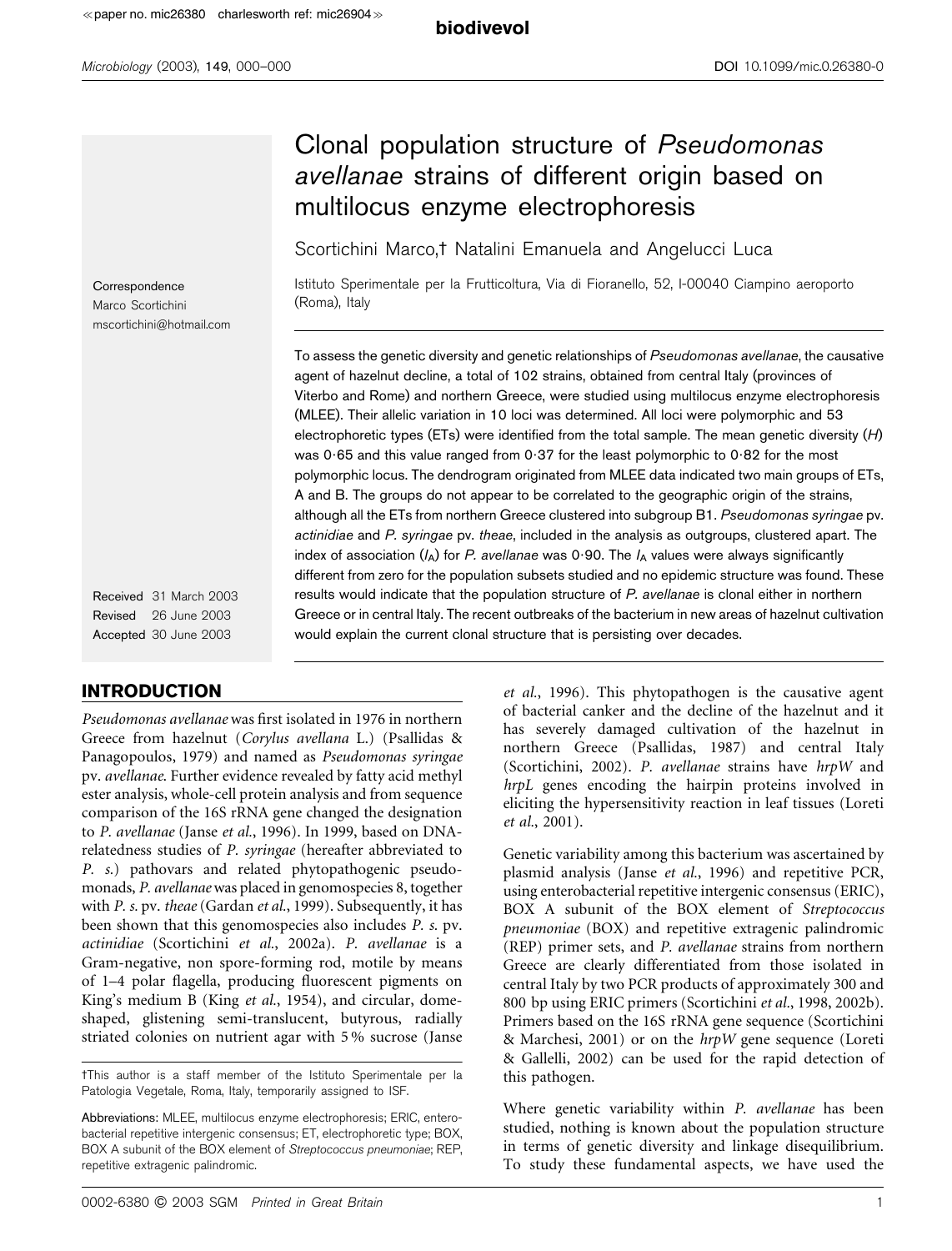# Clonal population structure of Pseudomonas avellanae strains of different origin based on multilocus enzyme electrophoresis

Scortichini Marco,<sup>†</sup> Natalini Emanuela and Angelucci Luca

Istituto Sperimentale per la Frutticoltura, Via di Fioranello, 52, I-00040 Ciampino aeroporto (Roma), Italy

To assess the genetic diversity and genetic relationships of Pseudomonas avellanae, the causative agent of hazelnut decline, a total of 102 strains, obtained from central Italy (provinces of Viterbo and Rome) and northern Greece, were studied using multilocus enzyme electrophoresis (MLEE). Their allelic variation in 10 loci was determined. All loci were polymorphic and 53 electrophoretic types (ETs) were identified from the total sample. The mean genetic diversity  $(H)$ was 0.65 and this value ranged from 0.37 for the least polymorphic to 0.82 for the most polymorphic locus. The dendrogram originated from MLEE data indicated two main groups of ETs, A and B. The groups do not appear to be correlated to the geographic origin of the strains, although all the ETs from northern Greece clustered into subgroup B1. Pseudomonas syringae pv. actinidiae and P. syringae pv. theae, included in the analysis as outgroups, clustered apart. The index of association  $(I_A)$  for P. avellanae was 0.90. The  $I_A$  values were always significantly different from zero for the population subsets studied and no epidemic structure was found. These results would indicate that the population structure of P. avellanae is clonal either in northern Greece or in central Italy. The recent outbreaks of the bacterium in new areas of hazelnut cultivation would explain the current clonal structure that is persisting over decades.

**Correspondence** Marco Scortichini mscortichini@hotmail.com

Received 31 March 2003 Revised 26 June 2003 Accepted 30 June 2003

## INTRODUCTION

Pseudomonas avellanae was first isolated in 1976 in northern Greece from hazelnut (Corylus avellana L.) (Psallidas & Panagopoulos, 1979) and named as Pseudomonas syringae pv. avellanae. Further evidence revealed by fatty acid methyl ester analysis, whole-cell protein analysis and from sequence comparison of the 16S rRNA gene changed the designation to P. avellanae (Janse et al., 1996). In 1999, based on DNArelatedness studies of P. syringae (hereafter abbreviated to P. s.) pathovars and related phytopathogenic pseudomonads, P. avellanae was placed in genomospecies 8, together with P. s. pv. theae (Gardan et al., 1999). Subsequently, it has been shown that this genomospecies also includes P. s. pv. actinidiae (Scortichini et al., 2002a). P. avellanae is a Gram-negative, non spore-forming rod, motile by means of 1–4 polar flagella, producing fluorescent pigments on King's medium B (King et al., 1954), and circular, domeshaped, glistening semi-translucent, butyrous, radially striated colonies on nutrient agar with 5 % sucrose (Janse

et al., 1996). This phytopathogen is the causative agent of bacterial canker and the decline of the hazelnut and it has severely damaged cultivation of the hazelnut in northern Greece (Psallidas, 1987) and central Italy (Scortichini, 2002). P. avellanae strains have hrpW and hrpL genes encoding the hairpin proteins involved in eliciting the hypersensitivity reaction in leaf tissues (Loreti et al., 2001).

Genetic variability among this bacterium was ascertained by plasmid analysis (Janse et al., 1996) and repetitive PCR, using enterobacterial repetitive intergenic consensus (ERIC), BOX A subunit of the BOX element of Streptococcus pneumoniae (BOX) and repetitive extragenic palindromic (REP) primer sets, and P. avellanae strains from northern Greece are clearly differentiated from those isolated in central Italy by two PCR products of approximately 300 and 800 bp using ERIC primers (Scortichini et al., 1998, 2002b). Primers based on the 16S rRNA gene sequence (Scortichini & Marchesi, 2001) or on the hrpW gene sequence (Loreti & Gallelli, 2002) can be used for the rapid detection of this pathogen.

Where genetic variability within P. avellanae has been studied, nothing is known about the population structure in terms of genetic diversity and linkage disequilibrium. To study these fundamental aspects, we have used the

tThis author is a staff member of the Istituto Sperimentale per la Patologia Vegetale, Roma, Italy, temporarily assigned to ISF.

Abbreviations: MLEE, multilocus enzyme electrophoresis; ERIC, enterobacterial repetitive intergenic consensus; ET, electrophoretic type; BOX, BOX A subunit of the BOX element of Streptococcus pneumoniae; REP, repetitive extragenic palindromic.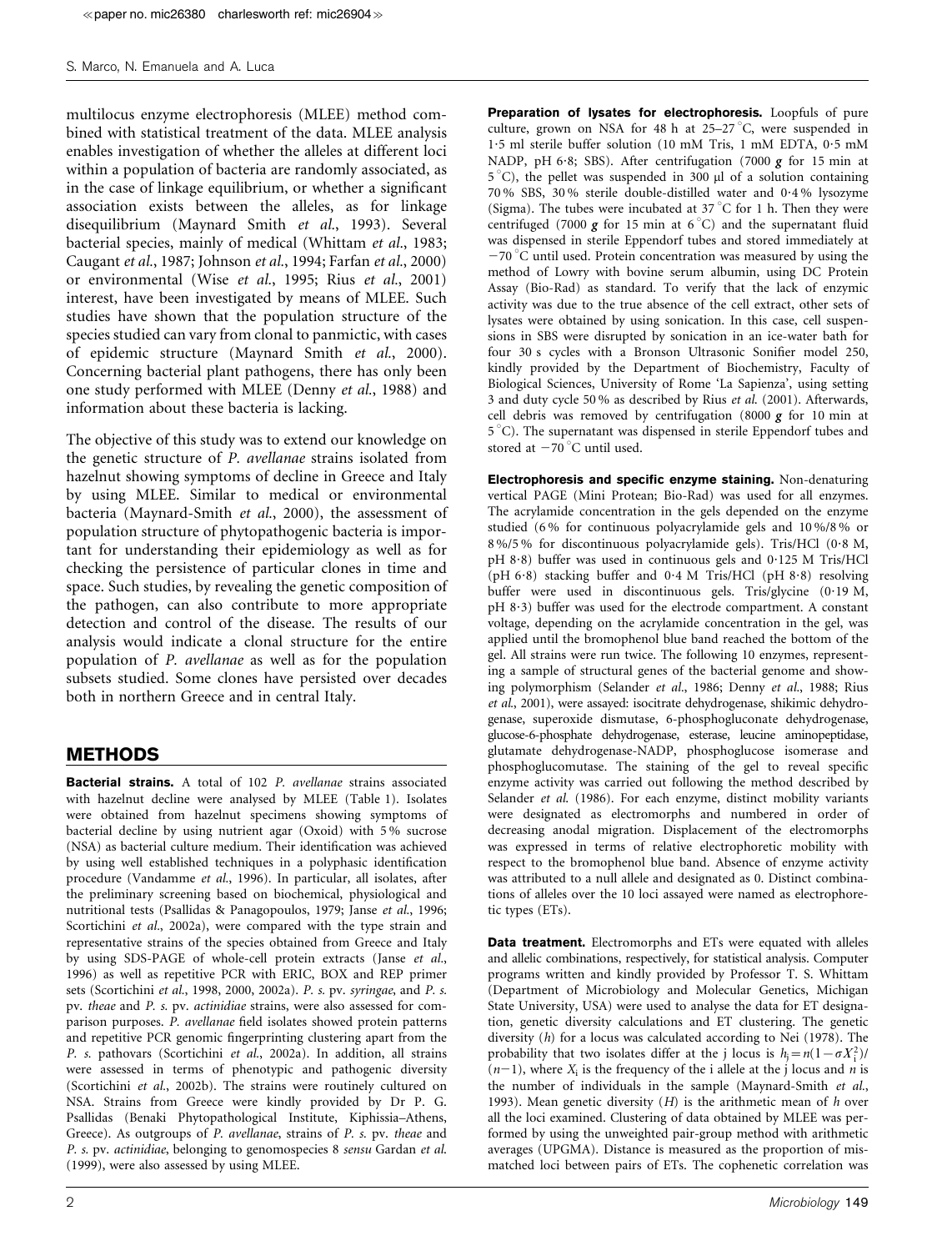#### S. Marco, N. Emanuela and A. Luca

multilocus enzyme electrophoresis (MLEE) method combined with statistical treatment of the data. MLEE analysis enables investigation of whether the alleles at different loci within a population of bacteria are randomly associated, as in the case of linkage equilibrium, or whether a significant association exists between the alleles, as for linkage disequilibrium (Maynard Smith et al., 1993). Several bacterial species, mainly of medical (Whittam et al., 1983; Caugant et al., 1987; Johnson et al., 1994; Farfan et al., 2000) or environmental (Wise et al., 1995; Rius et al., 2001) interest, have been investigated by means of MLEE. Such studies have shown that the population structure of the species studied can vary from clonal to panmictic, with cases of epidemic structure (Maynard Smith et al., 2000). Concerning bacterial plant pathogens, there has only been one study performed with MLEE (Denny et al., 1988) and information about these bacteria is lacking.

The objective of this study was to extend our knowledge on the genetic structure of P. avellanae strains isolated from hazelnut showing symptoms of decline in Greece and Italy by using MLEE. Similar to medical or environmental bacteria (Maynard-Smith et al., 2000), the assessment of population structure of phytopathogenic bacteria is important for understanding their epidemiology as well as for checking the persistence of particular clones in time and space. Such studies, by revealing the genetic composition of the pathogen, can also contribute to more appropriate detection and control of the disease. The results of our analysis would indicate a clonal structure for the entire population of P. avellanae as well as for the population subsets studied. Some clones have persisted over decades both in northern Greece and in central Italy.

## METHODS

Bacterial strains. A total of 102 P. avellanae strains associated with hazelnut decline were analysed by MLEE (Table 1). Isolates were obtained from hazelnut specimens showing symptoms of bacterial decline by using nutrient agar (Oxoid) with 5 % sucrose (NSA) as bacterial culture medium. Their identification was achieved by using well established techniques in a polyphasic identification procedure (Vandamme et al., 1996). In particular, all isolates, after the preliminary screening based on biochemical, physiological and nutritional tests (Psallidas & Panagopoulos, 1979; Janse et al., 1996; Scortichini et al., 2002a), were compared with the type strain and representative strains of the species obtained from Greece and Italy by using SDS-PAGE of whole-cell protein extracts (Janse et al., 1996) as well as repetitive PCR with ERIC, BOX and REP primer sets (Scortichini et al., 1998, 2000, 2002a). P. s. pv. syringae, and P. s. pv. theae and P. s. pv. actinidiae strains, were also assessed for comparison purposes. P. avellanae field isolates showed protein patterns and repetitive PCR genomic fingerprinting clustering apart from the P. s. pathovars (Scortichini et al., 2002a). In addition, all strains were assessed in terms of phenotypic and pathogenic diversity (Scortichini et al., 2002b). The strains were routinely cultured on NSA. Strains from Greece were kindly provided by Dr P. G. Psallidas (Benaki Phytopathological Institute, Kiphissia–Athens, Greece). As outgroups of P. avellanae, strains of P. s. pv. theae and P. s. pv. actinidiae, belonging to genomospecies 8 sensu Gardan et al. (1999), were also assessed by using MLEE.

Preparation of lysates for electrophoresis. Loopfuls of pure culture, grown on NSA for 48 h at  $25-27$  °C, were suspended in 1?5 ml sterile buffer solution (10 mM Tris, 1 mM EDTA, 0?5 mM NADP, pH 6.8; SBS). After centrifugation (7000  $g$  for 15 min at 5 °C), the pellet was suspended in 300 µl of a solution containing 70 % SBS, 30 % sterile double-distilled water and 0?4 % lysozyme (Sigma). The tubes were incubated at  $37^{\circ}$ C for 1 h. Then they were centrifuged (7000 g for 15 min at  $6^{\circ}$ C) and the supernatant fluid was dispensed in sterile Eppendorf tubes and stored immediately at  $-70$  °C until used. Protein concentration was measured by using the method of Lowry with bovine serum albumin, using DC Protein Assay (Bio-Rad) as standard. To verify that the lack of enzymic activity was due to the true absence of the cell extract, other sets of lysates were obtained by using sonication. In this case, cell suspensions in SBS were disrupted by sonication in an ice-water bath for four 30 s cycles with a Bronson Ultrasonic Sonifier model 250, kindly provided by the Department of Biochemistry, Faculty of Biological Sciences, University of Rome 'La Sapienza', using setting 3 and duty cycle 50 % as described by Rius et al. (2001). Afterwards, cell debris was removed by centrifugation (8000  $g$  for 10 min at  $5^{\circ}$ C). The supernatant was dispensed in sterile Eppendorf tubes and stored at  $-70$  °C until used.

Electrophoresis and specific enzyme staining. Non-denaturing vertical PAGE (Mini Protean; Bio-Rad) was used for all enzymes. The acrylamide concentration in the gels depended on the enzyme studied (6 % for continuous polyacrylamide gels and 10 %/8 % or 8 %/5 % for discontinuous polyacrylamide gels). Tris/HCl (0?8 M, pH 8?8) buffer was used in continuous gels and 0?125 M Tris/HCl  $(pH 6.8)$  stacking buffer and 0.4 M Tris/HCl  $(pH 8.8)$  resolving buffer were used in discontinuous gels. Tris/glycine  $(0.19 \text{ M},$ pH 8.3) buffer was used for the electrode compartment. A constant voltage, depending on the acrylamide concentration in the gel, was applied until the bromophenol blue band reached the bottom of the gel. All strains were run twice. The following 10 enzymes, representing a sample of structural genes of the bacterial genome and showing polymorphism (Selander et al., 1986; Denny et al., 1988; Rius et al., 2001), were assayed: isocitrate dehydrogenase, shikimic dehydrogenase, superoxide dismutase, 6-phosphogluconate dehydrogenase, glucose-6-phosphate dehydrogenase, esterase, leucine aminopeptidase, glutamate dehydrogenase-NADP, phosphoglucose isomerase and phosphoglucomutase. The staining of the gel to reveal specific enzyme activity was carried out following the method described by Selander et al. (1986). For each enzyme, distinct mobility variants were designated as electromorphs and numbered in order of decreasing anodal migration. Displacement of the electromorphs was expressed in terms of relative electrophoretic mobility with respect to the bromophenol blue band. Absence of enzyme activity was attributed to a null allele and designated as 0. Distinct combinations of alleles over the 10 loci assayed were named as electrophoretic types (ETs).

Data treatment. Electromorphs and ETs were equated with alleles and allelic combinations, respectively, for statistical analysis. Computer programs written and kindly provided by Professor T. S. Whittam (Department of Microbiology and Molecular Genetics, Michigan State University, USA) were used to analyse the data for ET designation, genetic diversity calculations and ET clustering. The genetic diversity (h) for a locus was calculated according to Nei (1978). The probability that two isolates differ at the j locus is  $h_j = n(1 - \sigma X_i^2)$ /  $(n-1)$ , where  $X_i$  is the frequency of the i allele at the j locus and *n* is the number of individuals in the sample (Maynard-Smith et al., 1993). Mean genetic diversity  $(H)$  is the arithmetic mean of h over all the loci examined. Clustering of data obtained by MLEE was performed by using the unweighted pair-group method with arithmetic averages (UPGMA). Distance is measured as the proportion of mismatched loci between pairs of ETs. The cophenetic correlation was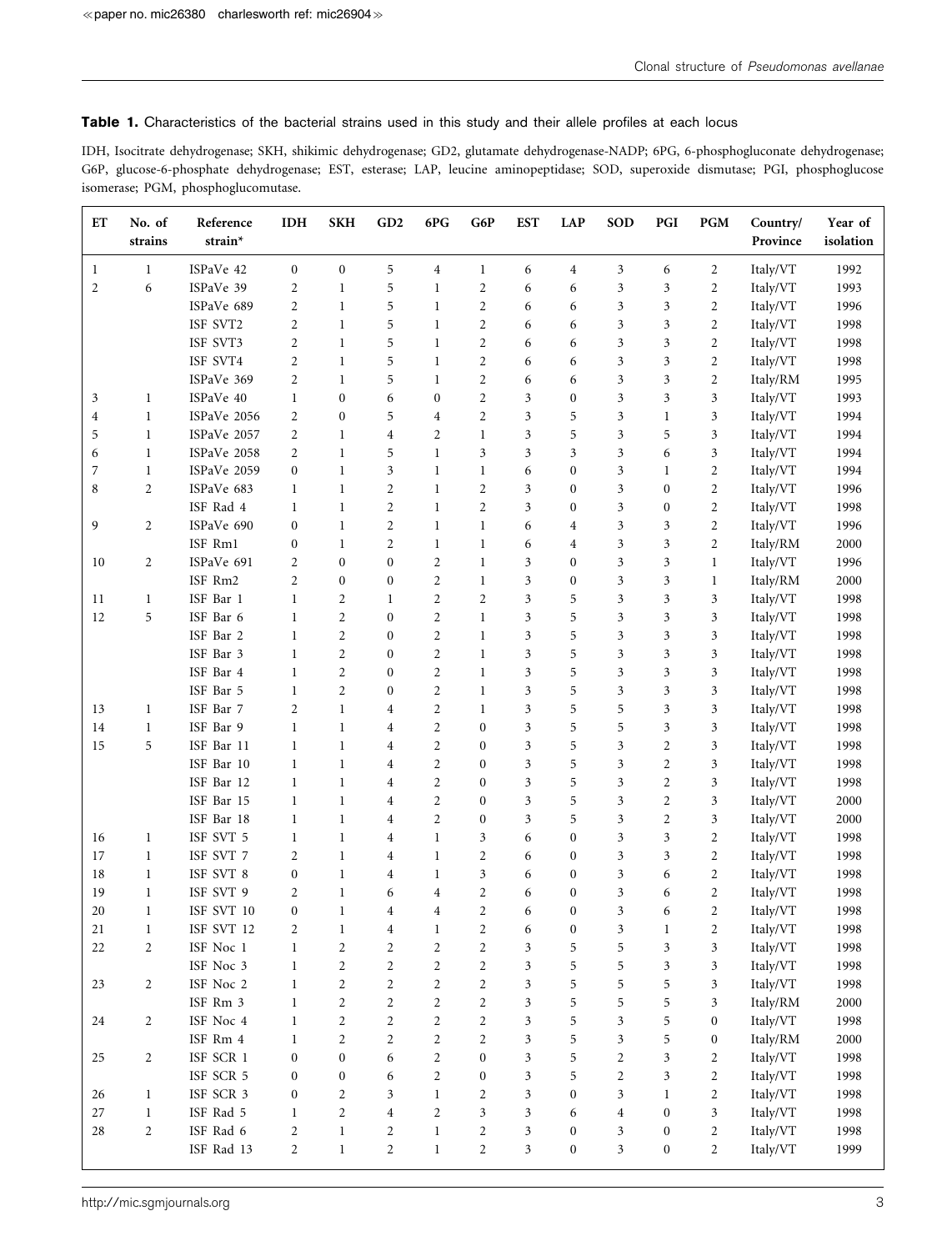Table 1. Characteristics of the bacterial strains used in this study and their allele profiles at each locus

IDH, Isocitrate dehydrogenase; SKH, shikimic dehydrogenase; GD2, glutamate dehydrogenase-NADP; 6PG, 6-phosphogluconate dehydrogenase; G6P, glucose-6-phosphate dehydrogenase; EST, esterase; LAP, leucine aminopeptidase; SOD, superoxide dismutase; PGI, phosphoglucose isomerase; PGM, phosphoglucomutase.

| ET             | No. of<br>strains | Reference<br>strain*        | <b>IDH</b>       | <b>SKH</b>       | GD2              | 6PG            | G6P              | <b>EST</b> | <b>LAP</b>       | <b>SOD</b>                  | PGI                         | <b>PGM</b>     | Country/<br>Province | Year of<br>isolation |
|----------------|-------------------|-----------------------------|------------------|------------------|------------------|----------------|------------------|------------|------------------|-----------------------------|-----------------------------|----------------|----------------------|----------------------|
| 1              | 1                 | ISPaVe 42                   | $\boldsymbol{0}$ | $\boldsymbol{0}$ | 5                | 4              | 1                | 6          | 4                | 3                           | 6                           | 2              | Italy/VT             | 1992                 |
| $\overline{c}$ | 6                 | ISPaVe 39                   | $\overline{2}$   | 1                | 5                | $\mathbf{1}$   | $\overline{c}$   | 6          | 6                | 3                           | 3                           | $\overline{c}$ | Italy/VT             | 1993                 |
|                |                   | ISPaVe 689                  | $\overline{2}$   | $\mathbf{1}$     | 5                | $\mathbf{1}$   | $\overline{c}$   | 6          | 6                | 3                           | 3                           | $\overline{c}$ | Italy/VT             | 1996                 |
|                |                   | ISF SVT2                    | $\overline{2}$   | $\mathbf{1}$     | 5                | $\mathbf{1}$   | $\overline{c}$   | 6          | 6                | 3                           | 3                           | $\overline{c}$ | Italy/VT             | 1998                 |
|                |                   | ISF SVT3                    | $\overline{2}$   | $\mathbf{1}$     | 5                | $\mathbf{1}$   | $\overline{c}$   | 6          | 6                | 3                           | 3                           | $\overline{c}$ | Italy/VT             | 1998                 |
|                |                   | ISF SVT4                    | $\overline{c}$   | $\mathbf{1}$     | 5                | 1              | $\overline{c}$   | 6          | 6                | 3                           | 3                           | $\overline{c}$ | Italy/VT             | 1998                 |
|                |                   | ISPaVe 369                  | $\overline{2}$   | $\mathbf{1}$     | 5                | $\mathbf{1}$   | $\overline{2}$   | 6          | 6                | 3                           | 3                           | $\overline{c}$ | Italy/RM             | 1995                 |
| 3              | $\mathbf{1}$      | ISPaVe 40                   | 1                | $\boldsymbol{0}$ | 6                | $\mathbf{0}$   | $\overline{c}$   | 3          | $\boldsymbol{0}$ | 3                           | 3                           | 3              | Italy/VT             | 1993                 |
| 4              | $\mathbf{1}$      | ISPaVe 2056                 | 2                | $\boldsymbol{0}$ | 5                | 4              | $\overline{c}$   | 3          | 5                | 3                           | 1                           | 3              | Italy/VT             | 1994                 |
| 5              | $\mathbf{1}$      | ISPaVe 2057                 | 2                | $\mathbf{1}$     | $\overline{4}$   | 2              | $\mathbf{1}$     | 3          | 5                | 3                           | 5                           | 3              | Italy/VT             | 1994                 |
| 6              | 1                 | ISPaVe 2058                 | 2                | $\mathbf{1}$     | 5                | $\mathbf{1}$   | 3                | 3          | 3                | 3                           | 6                           | 3              | Italy/VT             | 1994                 |
| 7              | $\mathbf{1}$      | ISPaVe 2059                 | $\boldsymbol{0}$ | $\mathbf{1}$     | $\mathfrak{Z}$   | $\mathbf{1}$   | $\mathbf{1}$     | 6          | $\boldsymbol{0}$ | 3                           | $\mathbf{1}$                | $\overline{c}$ | Italy/VT             | 1994                 |
| 8              | $\overline{2}$    | ISPaVe 683                  | 1                | $\mathbf{1}$     | $\overline{2}$   | $\mathbf{1}$   | $\overline{2}$   | 3          | $\boldsymbol{0}$ | 3                           | $\boldsymbol{0}$            | $\overline{c}$ | Italy/VT             | 1996                 |
|                |                   | ISF Rad 4                   | 1                | 1                | $\sqrt{2}$       | $\mathbf{1}$   | $\overline{c}$   | 3          | $\boldsymbol{0}$ | $\mathfrak{Z}$              | $\boldsymbol{0}$            | $\overline{c}$ | Italy/VT             | 1998                 |
| 9              | $\overline{2}$    | ISPaVe 690                  | $\mathbf{0}$     | $\mathbf{1}$     | $\overline{2}$   | $\mathbf{1}$   | $\mathbf{1}$     | 6          | $\overline{4}$   | $\mathfrak{Z}$              | 3                           | $\overline{c}$ | Italy/VT             | 1996                 |
|                |                   | ISF Rm1                     | $\mathbf{0}$     | $\mathbf{1}$     | $\overline{2}$   | $\mathbf{1}$   | $\mathbf{1}$     | 6          | $\overline{4}$   | 3                           | 3                           | $\overline{c}$ | Italy/RM             | 2000                 |
| 10             | $\overline{c}$    | ISPaVe 691                  | 2                | $\boldsymbol{0}$ | $\mathbf{0}$     | $\overline{c}$ | $\mathbf{1}$     | 3          | $\mathbf{0}$     | 3                           | 3                           | $\mathbf{1}$   | Italy/VT             | 1996                 |
|                |                   | ISF Rm2                     | $\overline{2}$   | $\boldsymbol{0}$ | $\mathbf{0}$     | $\overline{c}$ | $\mathbf{1}$     | 3          | $\boldsymbol{0}$ | 3                           | 3                           | 1              | Italy/RM             | 2000                 |
| 11             | $\mathbf{1}$      | ISF Bar 1                   | 1                | $\overline{c}$   | 1                | $\overline{c}$ | $\overline{2}$   | 3          | 5                | 3                           | 3                           | 3              | Italy/VT             | 1998                 |
| 12             | 5                 | ISF Bar 6                   | 1                | $\mathbf{2}$     | $\mathbf{0}$     | $\overline{c}$ | $\mathbf{1}$     | 3          | 5                | 3                           | 3                           | 3              | Italy/VT             | 1998                 |
|                |                   | ISF Bar 2                   | $\mathbf{1}$     | 2                | $\mathbf{0}$     | $\overline{c}$ | $\mathbf{1}$     | 3          | 5                | 3                           | 3                           | 3              | Italy/VT             | 1998                 |
|                |                   | ISF Bar 3                   | 1                | $\overline{c}$   | $\mathbf{0}$     | $\overline{c}$ | 1                | 3          | 5                | 3                           | 3                           | 3              | Italy/VT             | 1998                 |
|                |                   | ISF Bar 4                   | 1                | $\overline{2}$   | $\boldsymbol{0}$ | $\overline{c}$ | 1                | 3          | 5                | 3                           | 3                           | 3              | Italy/VT             | 1998                 |
|                |                   | ISF Bar 5                   | 1                | $\overline{2}$   | $\boldsymbol{0}$ | $\overline{c}$ | $\mathbf{1}$     | 3          | 5                | 3                           | 3                           | 3              | Italy/VT             | 1998                 |
| 13             | $\mathbf{1}$      | ISF Bar 7                   | $\overline{2}$   | $\mathbf{1}$     | $\overline{4}$   | $\overline{c}$ | $\mathbf{1}$     | 3          | 5                | 5                           | 3                           | 3              | Italy/VT             | 1998                 |
| 14             | $\mathbf{1}$      | ISF Bar 9                   | $\mathbf{1}$     | $\mathbf{1}$     | $\overline{4}$   | $\overline{c}$ | $\mathbf{0}$     | 3          | 5                | 5                           | $\mathfrak{Z}$              | 3              | Italy/VT             | 1998                 |
| 15             | 5                 | ISF Bar 11                  | 1                | $\mathbf{1}$     | $\overline{4}$   | $\overline{c}$ | $\mathbf{0}$     | 3          | 5                | 3                           | $\overline{c}$              | 3              | Italy/VT             | 1998                 |
|                |                   | ISF Bar 10                  | 1                | 1                | $\overline{4}$   | $\overline{c}$ | $\mathbf{0}$     | 3          | 5                | 3                           | $\overline{2}$              | 3              | Italy/VT             | 1998                 |
|                |                   | ISF Bar 12                  | $\mathbf{1}$     | $\mathbf{1}$     | $\overline{4}$   | $\overline{c}$ | $\mathbf{0}$     | 3          | 5                | 3                           | $\overline{2}$              | 3              | Italy/VT             | 1998                 |
|                |                   | ISF Bar 15                  | 1                | 1                | $\overline{4}$   | $\overline{2}$ | $\mathbf{0}$     | 3          | 5                | 3                           | $\overline{2}$              | 3              | Italy/VT             | 2000                 |
|                |                   | ISF Bar 18                  | 1                | 1                | $\overline{4}$   | $\overline{c}$ | $\mathbf{0}$     | 3          | 5                | 3                           | $\overline{c}$              | 3              | Italy/VT             | 2000                 |
| 16             | $\mathbf{1}$      | ISF SVT 5                   | 1                | $\mathbf{1}$     | $\overline{4}$   | $\mathbf{1}$   | 3                | 6          | $\mathbf{0}$     | 3                           | 3                           | $\overline{c}$ | Italy/VT             | 1998                 |
| 17             | 1                 | ISF SVT 7                   | $\overline{2}$   | $\mathbf{1}$     | $\overline{4}$   | $\mathbf{1}$   | $\overline{2}$   | 6          | $\boldsymbol{0}$ | 3                           | 3                           | $\overline{c}$ | Italy/VT             | 1998                 |
| 18             | $\mathbf{1}$      | ISF SVT 8                   | $\boldsymbol{0}$ | $\mathbf{1}$     | $\overline{4}$   | 1              | 3                | 6          | $\boldsymbol{0}$ | 3                           | 6                           | $\overline{c}$ | Italy/VT             | 1998                 |
| 19             | $\mathbf{1}$      | ISF SVT 9                   | 2                | $\mathbf{1}$     | 6                | $\overline{4}$ | $\mathbf{2}$     | 6          | $\boldsymbol{0}$ | $\mathfrak{Z}$              | 6                           | $\overline{c}$ | Italy/VT             | 1998                 |
| 20             | 1                 | ISF SVT 10                  | $\boldsymbol{0}$ | 1                | $\overline{4}$   | $\overline{4}$ | $\overline{c}$   | 6          | $\boldsymbol{0}$ | 3                           | 6                           | $\overline{c}$ | Italy/VT             | 1998                 |
| $21\,$         | $\,1$             | $\operatorname{ISF}$ SVT 12 | $\boldsymbol{2}$ | $\mathbf{1}$     | $\boldsymbol{4}$ | $\mathbf{1}$   | $\overline{2}$   | 6          | $\boldsymbol{0}$ | $\mathfrak{Z}$              | $\mathbf{1}$                | $\sqrt{2}$     | Italy/VT             | 1998                 |
| $22\,$         | $\overline{c}$    | ISF Noc 1                   | $\mathbf{1}$     | $\sqrt{2}$       | $\sqrt{2}$       | $\mathbf{2}$   | $\overline{c}$   | 3          | 5                | 5                           | $\ensuremath{\mathfrak{Z}}$ | 3              | Italy/VT             | 1998                 |
|                |                   | ISF Noc 3                   | $\,1$            | $\sqrt{2}$       | $\sqrt{2}$       | $\overline{c}$ | $\overline{c}$   | 3          | 5                | $\mathbf 5$                 | $\mathfrak{Z}$              | $\mathfrak{Z}$ | Italy/VT             | 1998                 |
| 23             | $\overline{c}$    | ISF Noc 2                   | $\mathbf{1}$     | $\sqrt{2}$       | $\overline{2}$   | $\overline{c}$ | $\overline{c}$   | 3          | 5                | 5                           | 5                           | 3              | Italy/VT             | 1998                 |
|                |                   | ISF Rm 3                    | 1                | $\sqrt{2}$       | 2                | $\overline{c}$ | $\overline{c}$   | 3          | 5                | $\mathbf 5$                 | 5                           | 3              | Italy/RM             | 2000                 |
| 24             | $\overline{c}$    | ISF Noc 4                   | 1                | $\overline{c}$   | $\overline{c}$   | $\overline{c}$ | $\overline{c}$   | 3          | 5                | $\boldsymbol{\mathfrak{Z}}$ | 5                           | 0              | Italy/VT             | 1998                 |
|                |                   | ISF Rm 4                    | $\mathbf{1}$     | $\sqrt{2}$       | 2                | $\overline{c}$ | $\overline{c}$   | 3          | 5                | $\boldsymbol{\mathfrak{Z}}$ | 5                           | 0              | Italy/RM             | 2000                 |
| 25             | $\overline{c}$    | ISF SCR 1                   | $\boldsymbol{0}$ | $\boldsymbol{0}$ | 6                | $\overline{c}$ | $\boldsymbol{0}$ | 3          | 5                | $\sqrt{2}$                  | 3                           | $\overline{c}$ | Italy/VT             | 1998                 |
|                |                   | ISF SCR 5                   | $\boldsymbol{0}$ | $\boldsymbol{0}$ | 6                | $\overline{c}$ | $\boldsymbol{0}$ | 3          | 5                | $\sqrt{2}$                  | $\mathfrak{Z}$              | $\overline{c}$ | Italy/VT             | 1998                 |
| 26             | $\mathbf{1}$      | ISF SCR 3                   | $\boldsymbol{0}$ | $\overline{c}$   | $\mathfrak{Z}$   | $\mathbf{1}$   | $\overline{c}$   | 3          | $\boldsymbol{0}$ | $\boldsymbol{\mathfrak{Z}}$ | $\mathbf{1}$                | $\overline{c}$ | Italy/VT             | 1998                 |
| $27\,$         | $\mathbf{1}$      | ISF Rad 5                   | 1                | $\sqrt{2}$       | $\sqrt{4}$       | $\overline{c}$ | 3                | 3          | 6                | $\overline{4}$              | $\boldsymbol{0}$            | 3              | Italy/VT             | 1998                 |
| 28             | $\overline{c}$    | ISF Rad 6                   | $\overline{c}$   | $\,1$            | $\sqrt{2}$       | $\mathbf{1}$   | $\overline{c}$   | 3          | $\boldsymbol{0}$ | $\mathfrak z$               | $\boldsymbol{0}$            | $\overline{c}$ | Italy/VT             | 1998                 |
|                |                   | ISF Rad 13                  | $\overline{2}$   | $\,1$            | $\sqrt{2}$       | $\mathbf{1}$   | $\overline{c}$   | 3          | $\boldsymbol{0}$ | $\boldsymbol{\mathfrak{Z}}$ | $\boldsymbol{0}$            | $\overline{2}$ | Italy/VT             | 1999                 |
|                |                   |                             |                  |                  |                  |                |                  |            |                  |                             |                             |                |                      |                      |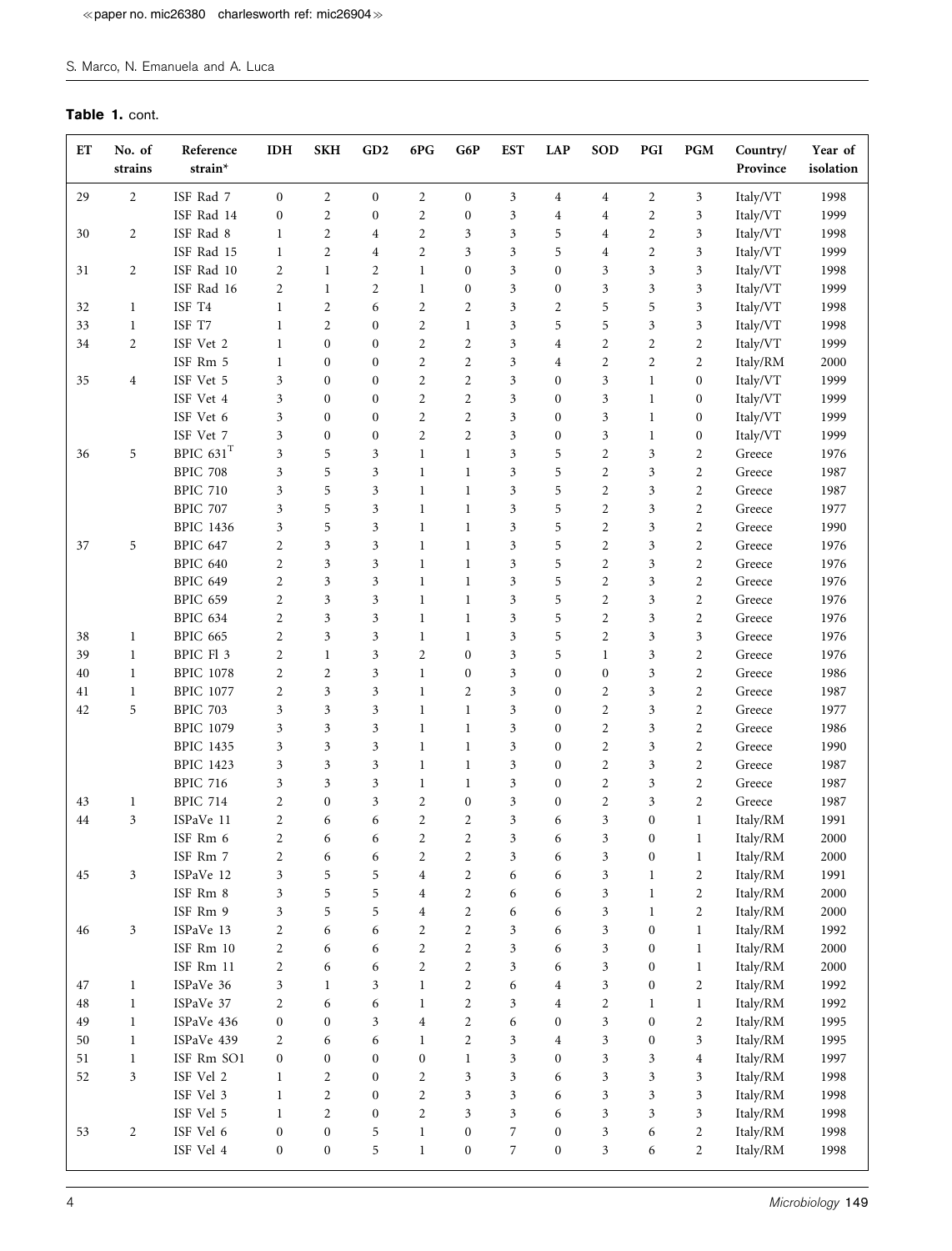## S. Marco, N. Emanuela and A. Luca

## Table 1. cont.

| ET     | No. of<br>strains | Reference<br>strain*    | <b>IDH</b>       | <b>SKH</b>       | GD <sub>2</sub>  | 6PG              | G6P              | <b>EST</b>              | <b>LAP</b>       | <b>SOD</b>           | PGI              | PGM              | Country/<br>Province | Year of<br>isolation |
|--------|-------------------|-------------------------|------------------|------------------|------------------|------------------|------------------|-------------------------|------------------|----------------------|------------------|------------------|----------------------|----------------------|
| 29     | $\overline{c}$    | ISF Rad 7               | $\mathbf{0}$     | $\overline{c}$   | $\boldsymbol{0}$ | $\sqrt{2}$       | $\boldsymbol{0}$ | 3                       | 4                | $\overline{4}$       | $\overline{2}$   | 3                | Italy/VT             | 1998                 |
|        |                   | ISF Rad 14              | $\boldsymbol{0}$ | $\mathfrak{2}$   | $\boldsymbol{0}$ | $\sqrt{2}$       | $\boldsymbol{0}$ | $\mathfrak{Z}$          | 4                | 4                    | $\sqrt{2}$       | $\mathfrak{Z}$   | Italy/VT             | 1999                 |
| 30     | $\overline{c}$    | ISF Rad 8               | 1                | $\overline{2}$   | $\overline{4}$   | $\overline{2}$   | 3                | 3                       | 5                | 4                    | $\overline{2}$   | $\mathfrak{Z}$   | Italy/VT             | 1998                 |
|        |                   | ISF Rad 15              | 1                | $\mathfrak{2}$   | $\,4\,$          | $\overline{2}$   | 3                | 3                       | 5                | 4                    | $\overline{2}$   | $\mathfrak{Z}$   | Italy/VT             | 1999                 |
| 31     | $\overline{c}$    | ISF Rad 10              | 2                | $\mathbf{1}$     | $\overline{2}$   | $\mathbf{1}$     | $\boldsymbol{0}$ | 3                       | $\boldsymbol{0}$ | 3                    | 3                | $\mathfrak{Z}$   | Italy/VT             | 1998                 |
|        |                   | ISF Rad 16              | $\overline{2}$   | $\mathbf{1}$     | $\overline{2}$   | $\mathbf{1}$     | $\boldsymbol{0}$ | 3                       | $\boldsymbol{0}$ | 3                    | $\mathfrak{Z}$   | $\mathfrak{Z}$   | Italy/VT             | 1999                 |
| 32     | 1                 | ISF T4                  | 1                | $\overline{c}$   | 6                | $\overline{2}$   | $\mathfrak{2}$   | 3                       | 2                | 5                    | 5                | 3                | Italy/VT             | 1998                 |
| 33     | $\mathbf{1}$      | ISF T7                  | 1                | $\overline{2}$   | $\boldsymbol{0}$ | $\overline{2}$   | $\mathbf{1}$     | 3                       | 5                | 5                    | 3                | $\mathfrak{Z}$   | Italy/VT             | 1998                 |
| 34     | $\overline{c}$    | ISF Vet 2               | 1                | $\boldsymbol{0}$ | $\mathbf{0}$     | $\overline{2}$   | $\overline{2}$   | 3                       | 4                | $\overline{c}$       | $\overline{2}$   | $\overline{2}$   | Italy/VT             | 1999                 |
|        |                   | ISF Rm 5                | 1                | $\boldsymbol{0}$ | $\mathbf{0}$     | $\overline{2}$   | $\overline{c}$   | 3                       | 4                | $\overline{c}$       | $\overline{2}$   | $\overline{2}$   | Italy/RM             | 2000                 |
| 35     | $\overline{4}$    | ISF Vet 5               | 3                | $\boldsymbol{0}$ | $\mathbf{0}$     | $\overline{2}$   | $\overline{2}$   | 3                       | $\mathbf{0}$     | 3                    | $\mathbf{1}$     | $\boldsymbol{0}$ | Italy/VT             | 1999                 |
|        |                   | ISF Vet 4               | 3                | $\boldsymbol{0}$ | $\mathbf{0}$     | $\overline{2}$   | $\mathfrak{2}$   | 3                       | $\boldsymbol{0}$ | 3                    | $\mathbf{1}$     | $\boldsymbol{0}$ | Italy/VT             | 1999                 |
|        |                   | ISF Vet 6               | 3                | $\boldsymbol{0}$ | $\boldsymbol{0}$ | $\overline{2}$   | $\overline{c}$   | 3                       | $\boldsymbol{0}$ | 3                    | $\mathbf{1}$     | $\boldsymbol{0}$ | Italy/VT             | 1999                 |
|        |                   | ISF Vet 7               | 3                | $\boldsymbol{0}$ | $\boldsymbol{0}$ | $\overline{2}$   | $\overline{2}$   | $\overline{\mathbf{3}}$ | $\boldsymbol{0}$ | 3                    | $\mathbf{1}$     | $\boldsymbol{0}$ | Italy/VT             | 1999                 |
| 36     | 5                 | BPIC $631$ <sup>T</sup> | 3                | 5                | 3                | $\mathbf{1}$     | $\mathbf{1}$     | 3                       | 5                | $\overline{2}$       | 3                | $\overline{c}$   | Greece               | 1976                 |
|        |                   | <b>BPIC 708</b>         | 3                | 5                | $\mathfrak{Z}$   | $\mathbf{1}$     | $\mathbf{1}$     | 3                       | 5                | $\overline{2}$       | 3                | $\mathbf{2}$     | Greece               | 1987                 |
|        |                   | <b>BPIC 710</b>         | 3                | 5                | $\mathfrak{Z}$   | $\mathbf{1}$     | $\mathbf{1}$     | $\mathfrak{Z}$          | 5                | $\overline{2}$       | $\mathfrak{Z}$   | $\mathbf{2}$     | Greece               | 1987                 |
|        |                   | <b>BPIC 707</b>         | 3                | 5                | $\mathfrak{Z}$   | $\mathbf{1}$     | $\mathbf{1}$     | 3                       | 5                | $\overline{2}$       | 3                | $\overline{c}$   | Greece               | 1977                 |
|        |                   | <b>BPIC 1436</b>        | 3                | 5                | $\mathfrak{Z}$   | $\mathbf{1}$     | $\mathbf{1}$     | 3                       | 5                | $\overline{2}$       | 3                | $\overline{c}$   | Greece               | 1990                 |
| 37     | 5                 | <b>BPIC 647</b>         | $\overline{2}$   | 3                | 3                | $\mathbf{1}$     | $\mathbf{1}$     | 3                       | 5                | $\overline{2}$       | 3                | $\overline{c}$   | Greece               | 1976                 |
|        |                   | <b>BPIC 640</b>         | $\overline{c}$   | 3                | 3                | 1                | $\mathbf{1}$     | 3                       | 5                | $\overline{2}$       | 3                | $\overline{c}$   | Greece               | 1976                 |
|        |                   | <b>BPIC 649</b>         | $\overline{c}$   | 3                | 3                | $\mathbf{1}$     | $\mathbf{1}$     | 3                       | 5                | $\overline{2}$       | 3                | $\overline{c}$   | Greece               | 1976                 |
|        |                   | <b>BPIC 659</b>         | $\overline{c}$   | 3                | 3                | $\mathbf{1}$     | $\mathbf{1}$     | 3                       | 5                | $\overline{c}$       | 3                | $\overline{c}$   | Greece               | 1976                 |
|        |                   | BPIC 634                | $\overline{2}$   | 3                | $\mathfrak{Z}$   | 1                | $\mathbf{1}$     | 3                       | 5                | $\overline{2}$       | 3                | $\overline{c}$   | Greece               | 1976                 |
| 38     | $\mathbf{1}$      | <b>BPIC 665</b>         | $\overline{2}$   | $\mathfrak{Z}$   | $\mathfrak{Z}$   | $\mathbf{1}$     | $\mathbf{1}$     | 3                       | 5                | $\overline{2}$       | 3                | $\mathfrak{Z}$   | Greece               | 1976                 |
| 39     | 1                 | BPIC Fl 3               | $\overline{c}$   | $\mathbf{1}$     | $\mathfrak{Z}$   | $\overline{2}$   | $\boldsymbol{0}$ | 3                       | 5                | $\mathbf{1}$         | 3                | $\overline{2}$   | Greece               | 1976                 |
| 40     | $\mathbf{1}$      | <b>BPIC 1078</b>        | $\overline{c}$   | $\overline{c}$   | $\mathfrak{Z}$   | $\mathbf{1}$     | $\boldsymbol{0}$ | $\mathfrak{Z}$          | $\boldsymbol{0}$ | $\boldsymbol{0}$     | $\mathfrak{Z}$   | $\mathbf{2}$     | Greece               | 1986                 |
| 41     | $\mathbf{1}$      | <b>BPIC 1077</b>        | $\overline{2}$   | 3                | $\mathfrak{Z}$   | $\mathbf{1}$     | $\overline{2}$   | 3                       | $\boldsymbol{0}$ | $\overline{c}$       | 3                | $\mathbf{2}$     | Greece               | 1987                 |
| 42     | 5                 | <b>BPIC 703</b>         | 3                | 3                | $\mathfrak{Z}$   | $\mathbf{1}$     | $\mathbf{1}$     | 3                       | 0                | $\overline{2}$       | 3                | $\overline{c}$   | Greece               | 1977                 |
|        |                   | <b>BPIC 1079</b>        | 3                | 3                | 3                | $\mathbf{1}$     | $\mathbf{1}$     | 3                       | 0                | $\overline{2}$       | 3                | $\overline{c}$   | Greece               | 1986                 |
|        |                   | <b>BPIC 1435</b>        | 3                | 3                | 3                | $\mathbf{1}$     | $\mathbf{1}$     | 3                       | 0                | $\overline{2}$       | 3                | $\overline{c}$   | Greece               | 1990                 |
|        |                   | <b>BPIC 1423</b>        | 3                | 3                | 3                | $\mathbf{1}$     | $\mathbf{1}$     | 3                       | $\boldsymbol{0}$ | $\overline{2}$       | 3                | $\overline{c}$   | Greece               | 1987                 |
|        |                   | <b>BPIC 716</b>         | 3                | 3                | 3                | 1                | $\mathbf{1}$     | 3                       | 0                | $\overline{c}$       | 3                | $\overline{c}$   | Greece               | 1987                 |
| 43     | 1                 | <b>BPIC 714</b>         | $\overline{2}$   | $\boldsymbol{0}$ | 3                | $\overline{2}$   | $\boldsymbol{0}$ | 3                       | $\boldsymbol{0}$ | $\overline{2}$       | 3                | $\overline{c}$   | Greece               | 1987                 |
| 44     | 3                 | ISPaVe 11               | 2                | 6                | 6                | $\overline{2}$   | $\overline{c}$   | $\mathfrak{Z}$          | 6                | 3                    | $\boldsymbol{0}$ | 1                | Italy/RM             | 1991                 |
|        |                   | ISF Rm 6                | $\overline{2}$   | 6                | 6                | $\overline{2}$   | $\overline{2}$   | 3                       | 6                | 3                    | $\boldsymbol{0}$ | $\mathbf{1}$     | Italy/RM             | 2000                 |
|        |                   | ISF Rm 7                | $\sqrt{2}$       | 6                | 6                | $\mathbf{2}$     | $\mathbf{2}$     | 3                       | 6                | 3                    | $\boldsymbol{0}$ | $\mathbf{1}$     | Italy/RM             | 2000                 |
| 45     | 3                 | ISPaVe 12               | 3                | 5                | 5                | $\overline{4}$   | $\overline{c}$   | 6                       | 6                | $\boldsymbol{\beta}$ | $\mathbf{1}$     | $\overline{2}$   | Italy/RM             | 1991                 |
|        |                   | ISF Rm 8                | 3                | 5                | 5                | $\sqrt{4}$       | $\overline{c}$   | 6                       | 6                | $\mathfrak{Z}$       | $\mathbf{1}$     | $\sqrt{2}$       | Italy/RM             | 2000                 |
|        |                   | ISF Rm 9                | 3                | 5                | 5                | $\,4\,$          | $\overline{c}$   | 6                       | 6                | $\mathfrak{Z}$       | $\mathbf{1}$     | $\mathbf{2}$     | Italy/RM             | 2000                 |
| 46     | $\mathfrak{Z}$    | ISPaVe 13               | $\overline{c}$   | 6                | 6                | $\overline{c}$   | $\overline{c}$   | 3                       | 6                | $\mathfrak{Z}$       | $\boldsymbol{0}$ | $\mathbf{1}$     | Italy/RM             | 1992                 |
|        |                   | ISF Rm 10               | $\overline{c}$   | 6                | 6                | $\overline{2}$   | $\overline{c}$   | 3                       | 6                | $\mathfrak{Z}$       | $\boldsymbol{0}$ | $\mathbf{1}$     | Italy/RM             | 2000                 |
|        |                   | ISF Rm 11               | $\overline{c}$   | 6                | 6                | $\overline{c}$   | $\overline{c}$   | 3                       | 6                | $\boldsymbol{\beta}$ | $\boldsymbol{0}$ | $\mathbf{1}$     | Italy/RM             | 2000                 |
| 47     | $\mathbf{1}$      | ISPaVe 36               | 3                | 1                | 3                | $\mathbf{1}$     | $\overline{c}$   | 6                       | 4                | $\mathfrak{Z}$       | $\boldsymbol{0}$ | $\overline{c}$   | Italy/RM             | 1992                 |
| $48\,$ | $\mathbf{1}$      | ISPaVe 37               | 2                | 6                | 6                | $\mathbf{1}$     | $\overline{c}$   | 3                       | $\overline{4}$   | $\sqrt{2}$           | $\mathbf{1}$     | $\mathbf{1}$     | Italy/RM             | 1992                 |
| 49     | $\mathbf{1}$      | ISPaVe 436              | $\boldsymbol{0}$ | $\boldsymbol{0}$ | 3                | $\,4\,$          | $\overline{c}$   | 6                       | $\boldsymbol{0}$ | $\mathfrak{Z}$       | $\boldsymbol{0}$ | $\overline{c}$   | Italy/RM             | 1995                 |
| $50\,$ | $\mathbf{1}$      | ISPaVe 439              | $\overline{c}$   | 6                | 6                | $\mathbf{1}$     | $\overline{c}$   | $\mathfrak{Z}$          | $\overline{4}$   | $\mathfrak z$        | $\boldsymbol{0}$ | 3                | Italy/RM             | 1995                 |
| 51     | $\mathbf{1}$      | ISF Rm SO1              | $\boldsymbol{0}$ | $\boldsymbol{0}$ | $\boldsymbol{0}$ | $\boldsymbol{0}$ | $\mathbf{1}$     | 3                       | $\boldsymbol{0}$ | $\mathfrak{Z}$       | 3                | $\overline{4}$   | Italy/RM             | 1997                 |
| 52     | 3                 | ISF Vel 2               | 1                | $\mathbf{2}$     | $\boldsymbol{0}$ | $\overline{c}$   | 3                | $\mathfrak{Z}$          | 6                | $\mathfrak{Z}$       | $\mathfrak{Z}$   | 3                | Italy/RM             | 1998                 |
|        |                   | ISF Vel 3               | $\mathbf{1}$     | $\sqrt{2}$       | $\boldsymbol{0}$ | $\overline{c}$   | 3                | 3                       | 6                | $\mathfrak{Z}$       | 3                | $\mathfrak{Z}$   | Italy/RM             | 1998                 |
|        |                   | ISF Vel 5               | $\mathbf{1}$     | $\mathbf{2}$     | $\boldsymbol{0}$ | $\overline{2}$   | 3                | 3                       | 6                | $\mathfrak{Z}$       | 3                | $\mathfrak{Z}$   | Italy/RM             | 1998                 |
| 53     | $\overline{c}$    | ISF Vel 6               | $\boldsymbol{0}$ | $\boldsymbol{0}$ | 5                | $\mathbf{1}$     | $\boldsymbol{0}$ | $\overline{7}$          |                  | $\mathfrak{Z}$       |                  | $\overline{c}$   |                      | 1998                 |
|        |                   |                         |                  |                  | 5                | $\mathbf{1}$     | $\boldsymbol{0}$ | $\overline{7}$          | $\boldsymbol{0}$ |                      | 6                |                  | Italy/RM             |                      |
|        |                   | ISF Vel 4               | $\boldsymbol{0}$ | $\boldsymbol{0}$ |                  |                  |                  |                         | $\boldsymbol{0}$ | 3                    | 6                | $\overline{2}$   | Italy/RM             | 1998                 |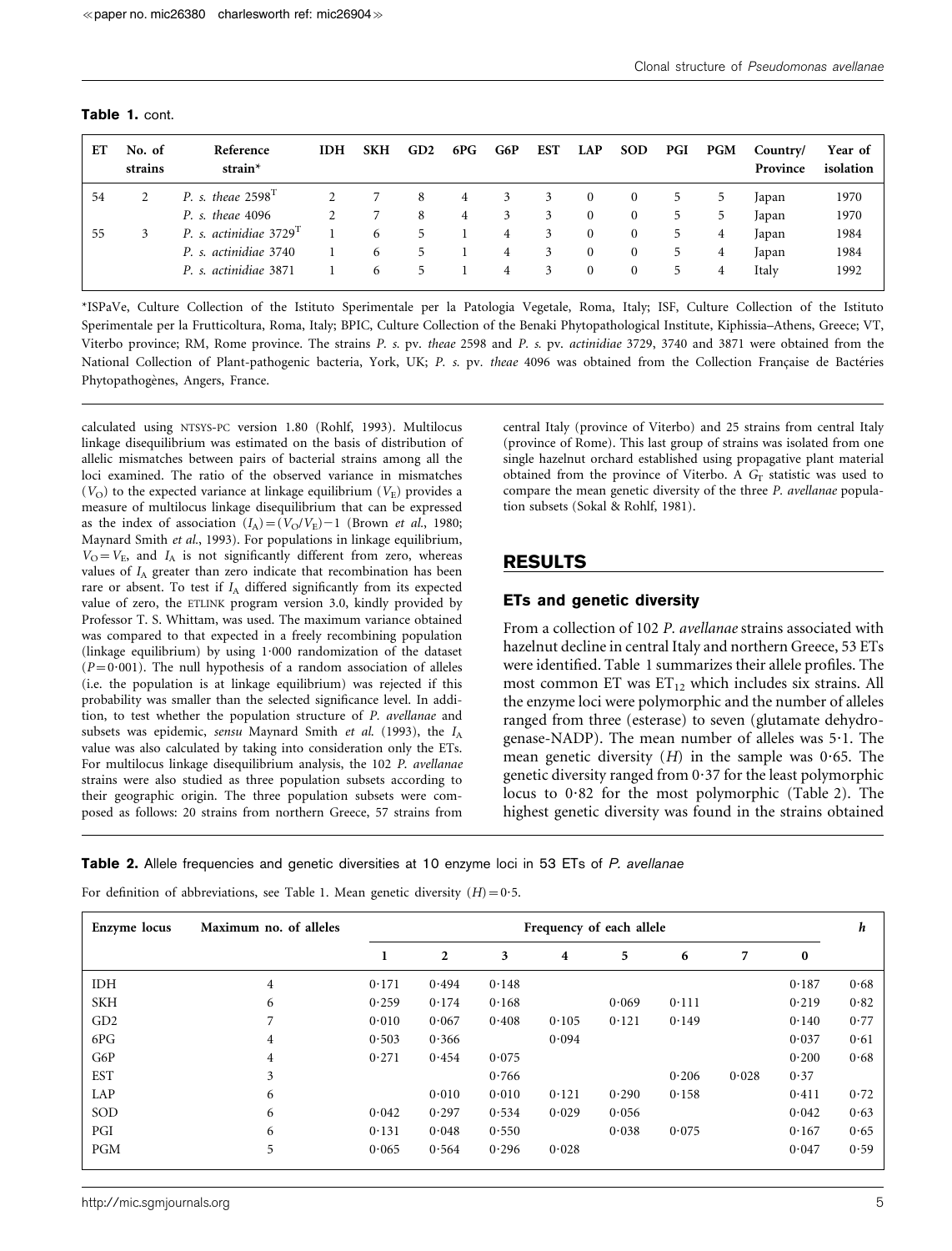| Table 1. cont. |  |  |
|----------------|--|--|
|----------------|--|--|

| EТ | No. of<br>strains | Reference<br>strain $*$            | <b>IDH</b> | <b>SKH</b> | GD2 | 6PG | G6P | <b>EST</b> | <b>LAP</b>     | <b>SOD</b>     | PGI           | <b>PGM</b> | Country/<br>Province | Year of<br>isolation |
|----|-------------------|------------------------------------|------------|------------|-----|-----|-----|------------|----------------|----------------|---------------|------------|----------------------|----------------------|
| 54 |                   | P. s. theae $2598T$                |            |            | 8   | 4   | 3   | 3          | $\overline{0}$ | $\theta$       | $\mathcal{D}$ | 5          | Japan                | 1970                 |
|    |                   | P. s. theae 4096                   |            | 7          | 8   | 4   | 3   | 3          | $\overline{0}$ | $\mathbf{0}$   | 5             | 5          | Japan                | 1970                 |
| 55 | 3                 | P. s. actinidiae 3729 <sup>T</sup> |            | 6          | 5   |     | 4   | 3          | $\overline{0}$ | $\bf{0}$       | 5             | 4          | Japan                | 1984                 |
|    |                   | P. s. actinidiae 3740              |            | 6          | 5   |     | 4   | 3          | $\overline{0}$ | $\mathbf{0}$   | 5             | 4          | Japan                | 1984                 |
|    |                   | P. s. actinidiae 3871              |            | 6          |     |     | 4   | 3          | $\mathbf{0}$   | $\overline{0}$ | 5             | 4          | Italy                | 1992                 |

\*ISPaVe, Culture Collection of the Istituto Sperimentale per la Patologia Vegetale, Roma, Italy; ISF, Culture Collection of the Istituto Sperimentale per la Frutticoltura, Roma, Italy; BPIC, Culture Collection of the Benaki Phytopathological Institute, Kiphissia–Athens, Greece; VT, Viterbo province; RM, Rome province. The strains P. s. pv. theae 2598 and P. s. pv. actinidiae 3729, 3740 and 3871 were obtained from the National Collection of Plant-pathogenic bacteria, York, UK; P. s. pv. theae 4096 was obtained from the Collection Francaise de Bactéries Phytopathogènes, Angers, France.

calculated using NTSYS-PC version 1.80 (Rohlf, 1993). Multilocus linkage disequilibrium was estimated on the basis of distribution of allelic mismatches between pairs of bacterial strains among all the loci examined. The ratio of the observed variance in mismatches  $(V<sub>O</sub>)$  to the expected variance at linkage equilibrium  $(V<sub>E</sub>)$  provides a measure of multilocus linkage disequilibrium that can be expressed as the index of association  $(I_A)=(V_O/V_E)-1$  (Brown *et al.*, 1980; Maynard Smith et al., 1993). For populations in linkage equilibrium,  $V_{\text{O}}=V_{\text{E}}$ , and  $I_{\text{A}}$  is not significantly different from zero, whereas values of  $I_A$  greater than zero indicate that recombination has been rare or absent. To test if  $I_A$  differed significantly from its expected value of zero, the ETLINK program version 3.0, kindly provided by Professor T. S. Whittam, was used. The maximum variance obtained was compared to that expected in a freely recombining population (linkage equilibrium) by using 1?000 randomization of the dataset  $(P=0.001)$ . The null hypothesis of a random association of alleles (i.e. the population is at linkage equilibrium) was rejected if this probability was smaller than the selected significance level. In addition, to test whether the population structure of P. avellanae and subsets was epidemic, sensu Maynard Smith et al. (1993), the  $I_A$ value was also calculated by taking into consideration only the ETs. For multilocus linkage disequilibrium analysis, the 102 P. avellanae strains were also studied as three population subsets according to their geographic origin. The three population subsets were composed as follows: 20 strains from northern Greece, 57 strains from

central Italy (province of Viterbo) and 25 strains from central Italy (province of Rome). This last group of strains was isolated from one single hazelnut orchard established using propagative plant material obtained from the province of Viterbo. A  $G_T$  statistic was used to compare the mean genetic diversity of the three P. avellanae population subsets (Sokal & Rohlf, 1981).

## RESULTS

#### ETs and genetic diversity

From a collection of 102 P. avellanae strains associated with hazelnut decline in central Italy and northern Greece, 53 ETs were identified. Table 1 summarizes their allele profiles. The most common ET was  $ET_{12}$  which includes six strains. All the enzyme loci were polymorphic and the number of alleles ranged from three (esterase) to seven (glutamate dehydrogenase-NADP). The mean number of alleles was  $5.1$ . The mean genetic diversity  $(H)$  in the sample was 0.65. The genetic diversity ranged from  $0.37$  for the least polymorphic locus to  $0.82$  for the most polymorphic (Table 2). The highest genetic diversity was found in the strains obtained

**Table 2.** Allele frequencies and genetic diversities at 10 enzyme loci in 53 ETs of P. avellanae

For definition of abbreviations, see Table 1. Mean genetic diversity  $(H) = 0.5$ .

| Enzyme locus    | Maximum no. of alleles<br>Frequency of each allele |       |       |       |       |       |       |       |          |      |  |  |
|-----------------|----------------------------------------------------|-------|-------|-------|-------|-------|-------|-------|----------|------|--|--|
|                 |                                                    | 1     | 2     | 3     | 4     | 5     | 6     | 7     | $\bf{0}$ |      |  |  |
| <b>IDH</b>      | 4                                                  | 0.171 | 0.494 | 0.148 |       |       |       |       | 0.187    | 0.68 |  |  |
| <b>SKH</b>      | 6                                                  | 0.259 | 0.174 | 0.168 |       | 0.069 | 0.111 |       | 0.219    | 0.82 |  |  |
| GD <sub>2</sub> | 7                                                  | 0.010 | 0.067 | 0.408 | 0.105 | 0.121 | 0.149 |       | 0.140    | 0.77 |  |  |
| 6PG             | 4                                                  | 0.503 | 0.366 |       | 0.094 |       |       |       | 0.037    | 0.61 |  |  |
| G6P             | 4                                                  | 0.271 | 0.454 | 0.075 |       |       |       |       | 0.200    | 0.68 |  |  |
| <b>EST</b>      | 3                                                  |       |       | 0.766 |       |       | 0.206 | 0.028 | 0.37     |      |  |  |
| LAP             | 6                                                  |       | 0.010 | 0.010 | 0.121 | 0.290 | 0.158 |       | 0.411    | 0.72 |  |  |
| SOD             | 6                                                  | 0.042 | 0.297 | 0.534 | 0.029 | 0.056 |       |       | 0.042    | 0.63 |  |  |
| PGI             | 6                                                  | 0.131 | 0.048 | 0.550 |       | 0.038 | 0.075 |       | 0.167    | 0.65 |  |  |
| <b>PGM</b>      | 5                                                  | 0.065 | 0.564 | 0.296 | 0.028 |       |       |       | 0.047    | 0.59 |  |  |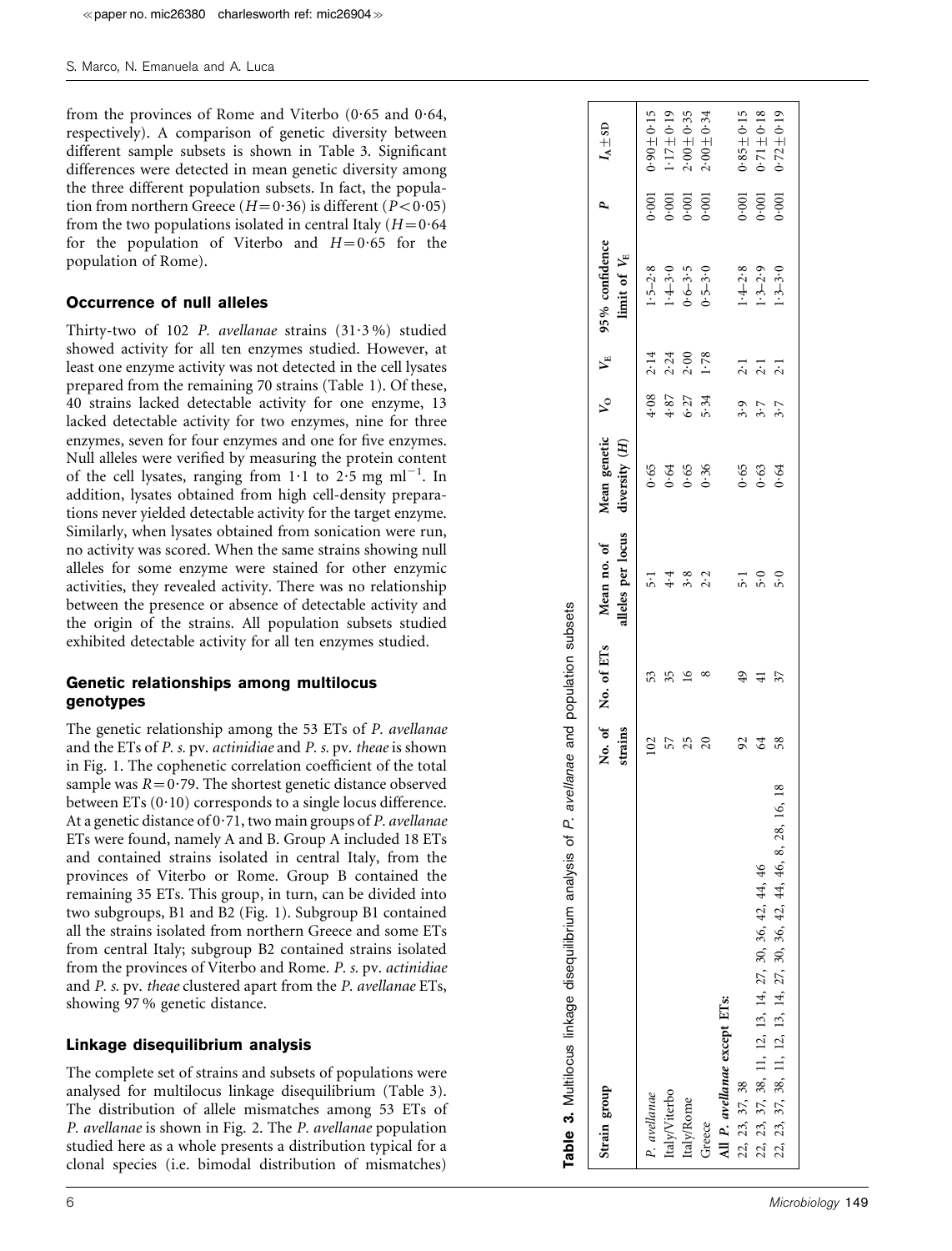from the provinces of Rome and Viterbo (0.65 and 0.64, respectively). A comparison of genetic diversity between different sample subsets is shown in Table 3. Significant differences were detected in mean genetic diversity among the three different population subsets. In fact, the population from northern Greece ( $H=0.36$ ) is different ( $P<0.05$ ) from the two populations isolated in central Italy  $(H=0.64)$ for the population of Viterbo and  $H=0.65$  for the population of Rome).

#### Occurrence of null alleles

Thirty-two of 102 P. avellanae strains (31.3%) studied showed activity for all ten enzymes studied. However, at least one enzyme activity was not detected in the cell lysates prepared from the remaining 70 strains (Table 1). Of these, 40 strains lacked detectable activity for one enzyme, 13 lacked detectable activity for two enzymes, nine for three enzymes, seven for four enzymes and one for five enzymes. Null alleles were verified by measuring the protein content of the cell lysates, ranging from  $1 \cdot 1$  to  $2 \cdot 5$  mg ml<sup>-1</sup>. In addition, lysates obtained from high cell-density preparations never yielded detectable activity for the target enzyme. Similarly, when lysates obtained from sonication were run, no activity was scored. When the same strains showing null alleles for some enzyme were stained for other enzymic activities, they revealed activity. There was no relationship between the presence or absence of detectable activity and the origin of the strains. All population subsets studied exhibited detectable activity for all ten enzymes studied. s paper no. mic26380 charlesworth ref: mic26904  $\approx$ <br>S. Marco, N. Emaruels and A. Luca<br>
from the provinces of Rome and Viterbo (0.65 and 0.64,<br>
respectively). A. comparison of gentic diversity between<br>
differences were de

### Genetic relationships among multilocus genotypes

The genetic relationship among the 53 ETs of P. avellanae and the ETs of P. s. pv. actinidiae and P. s. pv. theae is shown in Fig. 1. The cophenetic correlation coefficient of the total sample was  $R = 0.79$ . The shortest genetic distance observed between ETs (0·10) corresponds to a single locus difference. At a genetic distance of 0.71, two main groups of P. avellanae ETs were found, namely A and B. Group A included 18 ETs and contained strains isolated in central Italy, from the provinces of Viterbo or Rome. Group B contained the remaining 35 ETs. This group, in turn, can be divided into two subgroups, B1 and B2 (Fig. 1). Subgroup B1 contained all the strains isolated from northern Greece and some ETs from central Italy; subgroup B2 contained strains isolated from the provinces of Viterbo and Rome. P. s. pv. actinidiae and P. s. pv. theae clustered apart from the P. avellanae ETs, showing 97 % genetic distance.

### Linkage disequilibrium analysis

The complete set of strains and subsets of populations were analysed for multilocus linkage disequilibrium (Table 3). The distribution of allele mismatches among 53 ETs of P. avellanae is shown in Fig. 2. The P. avellanae population studied here as a whole presents a distribution typical for a clonal species (i.e. bimodal distribution of mismatches)

| Strain group                                                          |         | No. of No. of ETs | Mean no. of        | Mean genetic   |      | $V_{\rm o}$ $V_{\rm E}$ | 95 % confidence                                  | P,    | $I_A \pm$ sd    |
|-----------------------------------------------------------------------|---------|-------------------|--------------------|----------------|------|-------------------------|--------------------------------------------------|-------|-----------------|
|                                                                       | strains |                   | alleles per locus  | diversity (H)  |      |                         | limit of $V_{\rm E}$                             |       |                 |
| P. avellanae                                                          | 102     | 53                | $\overline{5}$ :   | 0.65           | 4.08 | 2.14                    |                                                  | 0.001 | $0.90 \pm 0.15$ |
| Italy/Viterbo                                                         | 57      | 35                | 4.4                | 0.64           | 4.87 | 2.24                    | $1.5-2.8$<br>$1.4-3.0$<br>$0.6-3.5$<br>$0.5-3.0$ | 0.001 | $1.17 \pm 0.19$ |
| Italy/Rome                                                            | 25      | $\overline{16}$   | 3.8                | 0.65           | 6.27 | 2.00                    |                                                  | 0.001 | $2.00 + 0.35$   |
| Greece                                                                | 20      | ∞                 | 2.2                | 0.36           | 5.34 | 1.78                    |                                                  | 0.001 | $2.00 + 0.34$   |
| All P. avellanae except ETs:                                          |         |                   |                    |                |      |                         |                                                  |       |                 |
| 22, 23, 37, 38                                                        | 92      | $\frac{49}{5}$    | $\overline{5}$ : 1 |                | 3.9  | $2 \cdot 1$             |                                                  | 0.001 | $0.85 + 0.15$   |
| 22, 23, 37, 38, 11, 12, 13, 14, 27, 30, 36, 42, 44, 46                | 64      | $\overline{41}$   | 5.0                | $0.65$<br>0.63 | 3.7  | 2.1                     | $1.4-2.8$<br>1.3-2.9<br>1.3-3.0                  | 0.001 | $0.71 \pm 0.18$ |
| 22, 23, 37, 38, 11, 12, 13, 14, 27, 30, 36, 42, 44, 46, 8, 28, 16, 18 | 58      | 37                | 5.0                | 0.64           | 3.7  | 2.1                     |                                                  | 0.001 | $0.72 \pm 0.19$ |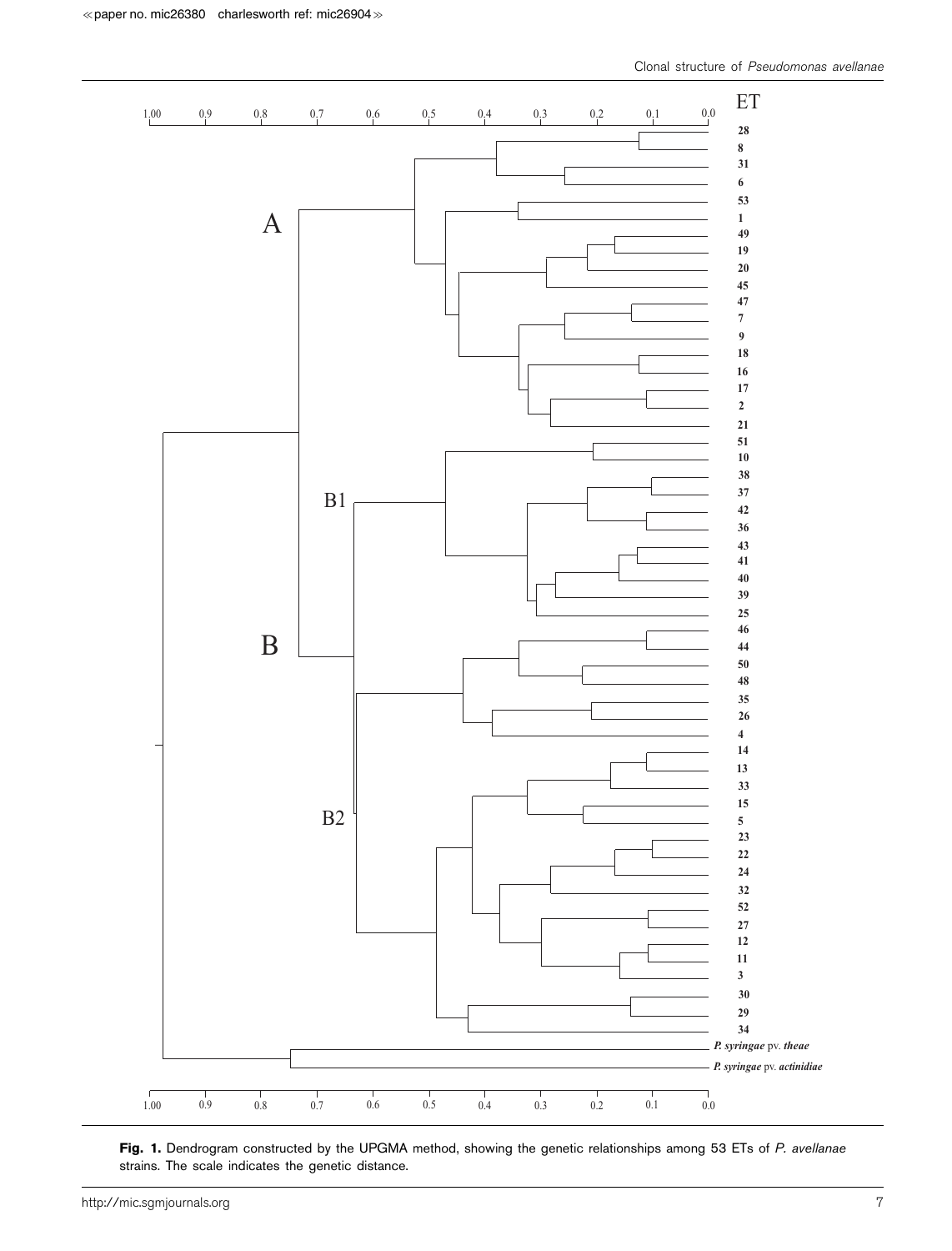

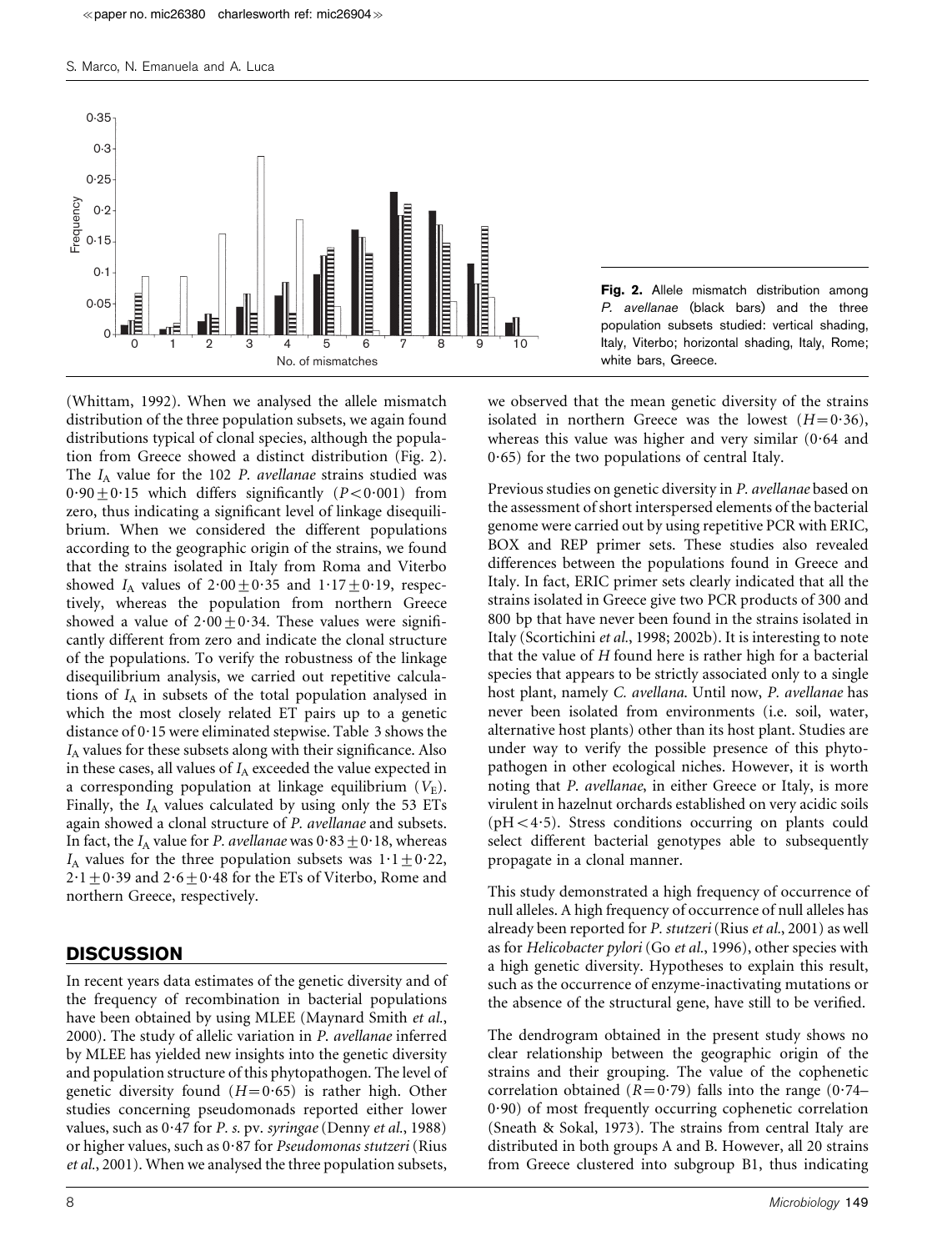

(Whittam, 1992). When we analysed the allele mismatch distribution of the three population subsets, we again found distributions typical of clonal species, although the population from Greece showed a distinct distribution (Fig. 2). The  $I_A$  value for the 102 P. avellanae strains studied was  $0.90 \pm 0.15$  which differs significantly (P<0.001) from zero, thus indicating a significant level of linkage disequilibrium. When we considered the different populations according to the geographic origin of the strains, we found that the strains isolated in Italy from Roma and Viterbo showed  $I_A$  values of  $2.00 \pm 0.35$  and  $1.17 \pm 0.19$ , respectively, whereas the population from northern Greece showed a value of  $2.00+0.34$ . These values were significantly different from zero and indicate the clonal structure of the populations. To verify the robustness of the linkage disequilibrium analysis, we carried out repetitive calculations of  $I_A$  in subsets of the total population analysed in which the most closely related ET pairs up to a genetic distance of 0.15 were eliminated stepwise. Table 3 shows the  $I_A$  values for these subsets along with their significance. Also in these cases, all values of  $I_A$  exceeded the value expected in a corresponding population at linkage equilibrium  $(V_{\rm E})$ . Finally, the  $I_A$  values calculated by using only the 53 ETs again showed a clonal structure of P. avellanae and subsets. In fact, the  $I_A$  value for P. avellanae was  $0.83 \pm 0.18$ , whereas I<sub>A</sub> values for the three population subsets was  $1.1 \pm 0.22$ ,  $2 \cdot 1 + 0 \cdot 39$  and  $2 \cdot 6 + 0 \cdot 48$  for the ETs of Viterbo, Rome and northern Greece, respectively.

### **DISCUSSION**

In recent years data estimates of the genetic diversity and of the frequency of recombination in bacterial populations have been obtained by using MLEE (Maynard Smith et al., 2000). The study of allelic variation in P. avellanae inferred by MLEE has yielded new insights into the genetic diversity and population structure of this phytopathogen. The level of genetic diversity found  $(H=0.65)$  is rather high. Other studies concerning pseudomonads reported either lower values, such as  $0.47$  for P. s. pv. syringae (Denny et al., 1988) or higher values, such as 0?87 for Pseudomonas stutzeri (Rius et al., 2001). When we analysed the three population subsets,

Fig. 2. Allele mismatch distribution among P. avellanae (black bars) and the three population subsets studied: vertical shading, Italy, Viterbo; horizontal shading, Italy, Rome; white bars, Greece.

we observed that the mean genetic diversity of the strains isolated in northern Greece was the lowest  $(H=0.36)$ , whereas this value was higher and very similar  $(0.64$  and  $0.65$ ) for the two populations of central Italy.

Previous studies on genetic diversity in P. avellanae based on the assessment of short interspersed elements of the bacterial genome were carried out by using repetitive PCR with ERIC, BOX and REP primer sets. These studies also revealed differences between the populations found in Greece and Italy. In fact, ERIC primer sets clearly indicated that all the strains isolated in Greece give two PCR products of 300 and 800 bp that have never been found in the strains isolated in Italy (Scortichini et al., 1998; 2002b). It is interesting to note that the value of  $H$  found here is rather high for a bacterial species that appears to be strictly associated only to a single host plant, namely C. avellana. Until now, P. avellanae has never been isolated from environments (i.e. soil, water, alternative host plants) other than its host plant. Studies are under way to verify the possible presence of this phytopathogen in other ecological niches. However, it is worth noting that P. avellanae, in either Greece or Italy, is more virulent in hazelnut orchards established on very acidic soils ( $pH < 4.5$ ). Stress conditions occurring on plants could select different bacterial genotypes able to subsequently propagate in a clonal manner.

This study demonstrated a high frequency of occurrence of null alleles. A high frequency of occurrence of null alleles has already been reported for P. stutzeri (Rius et al., 2001) as well as for Helicobacter pylori (Go et al., 1996), other species with a high genetic diversity. Hypotheses to explain this result, such as the occurrence of enzyme-inactivating mutations or the absence of the structural gene, have still to be verified.

The dendrogram obtained in the present study shows no clear relationship between the geographic origin of the strains and their grouping. The value of the cophenetic correlation obtained ( $R=0.79$ ) falls into the range (0.74– 0?90) of most frequently occurring cophenetic correlation (Sneath & Sokal, 1973). The strains from central Italy are distributed in both groups A and B. However, all 20 strains from Greece clustered into subgroup B1, thus indicating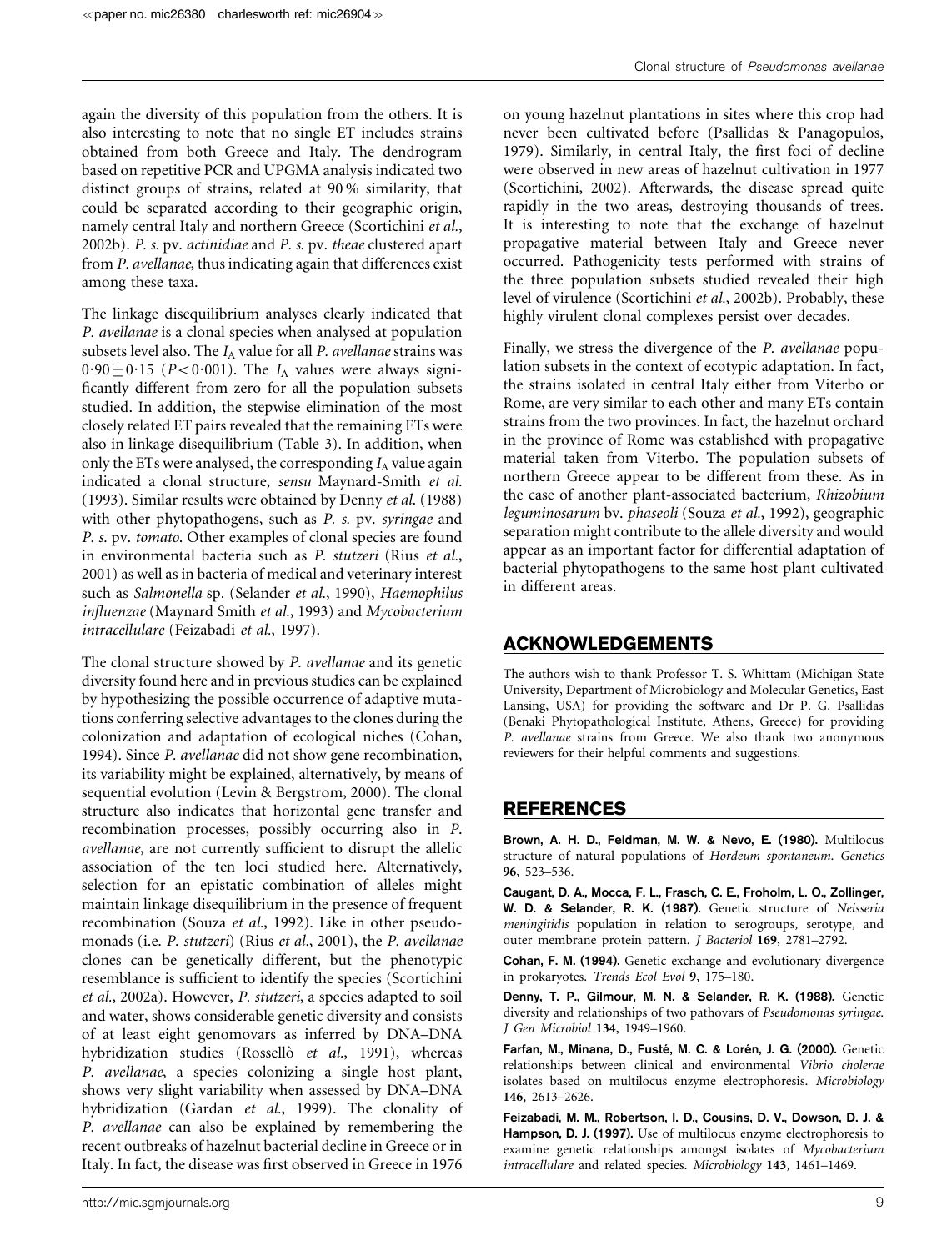again the diversity of this population from the others. It is also interesting to note that no single ET includes strains obtained from both Greece and Italy. The dendrogram based on repetitive PCR and UPGMA analysis indicated two distinct groups of strains, related at 90 % similarity, that could be separated according to their geographic origin, namely central Italy and northern Greece (Scortichini et al., 2002b). P. s. pv. actinidiae and P. s. pv. theae clustered apart from P. avellanae, thus indicating again that differences exist among these taxa.

The linkage disequilibrium analyses clearly indicated that P. avellanae is a clonal species when analysed at population subsets level also. The  $I_A$  value for all P. avellanae strains was  $0.90 \pm 0.15$  (P<0.001). The  $I_A$  values were always significantly different from zero for all the population subsets studied. In addition, the stepwise elimination of the most closely related ET pairs revealed that the remaining ETs were also in linkage disequilibrium (Table 3). In addition, when only the ETs were analysed, the corresponding  $I_A$  value again indicated a clonal structure, sensu Maynard-Smith et al. (1993). Similar results were obtained by Denny et al. (1988) with other phytopathogens, such as P. s. pv. syringae and P. s. pv. tomato. Other examples of clonal species are found in environmental bacteria such as P. stutzeri (Rius et al., 2001) as well as in bacteria of medical and veterinary interest such as Salmonella sp. (Selander et al., 1990), Haemophilus influenzae (Maynard Smith et al., 1993) and Mycobacterium intracellulare (Feizabadi et al., 1997).

The clonal structure showed by P. avellanae and its genetic diversity found here and in previous studies can be explained by hypothesizing the possible occurrence of adaptive mutations conferring selective advantages to the clones during the colonization and adaptation of ecological niches (Cohan, 1994). Since P. avellanae did not show gene recombination, its variability might be explained, alternatively, by means of sequential evolution (Levin & Bergstrom, 2000). The clonal structure also indicates that horizontal gene transfer and recombination processes, possibly occurring also in P. avellanae, are not currently sufficient to disrupt the allelic association of the ten loci studied here. Alternatively, selection for an epistatic combination of alleles might maintain linkage disequilibrium in the presence of frequent recombination (Souza et al., 1992). Like in other pseudomonads (i.e. P. stutzeri) (Rius et al., 2001), the P. avellanae clones can be genetically different, but the phenotypic resemblance is sufficient to identify the species (Scortichini et al., 2002a). However, P. stutzeri, a species adapted to soil and water, shows considerable genetic diversity and consists of at least eight genomovars as inferred by DNA–DNA hybridization studies (Rossellò et al., 1991), whereas P. avellanae, a species colonizing a single host plant, shows very slight variability when assessed by DNA–DNA hybridization (Gardan et al., 1999). The clonality of P. avellanae can also be explained by remembering the recent outbreaks of hazelnut bacterial decline in Greece or in Italy. In fact, the disease was first observed in Greece in 1976

on young hazelnut plantations in sites where this crop had never been cultivated before (Psallidas & Panagopulos, 1979). Similarly, in central Italy, the first foci of decline were observed in new areas of hazelnut cultivation in 1977 (Scortichini, 2002). Afterwards, the disease spread quite rapidly in the two areas, destroying thousands of trees. It is interesting to note that the exchange of hazelnut propagative material between Italy and Greece never occurred. Pathogenicity tests performed with strains of the three population subsets studied revealed their high level of virulence (Scortichini et al., 2002b). Probably, these highly virulent clonal complexes persist over decades.

Finally, we stress the divergence of the P. avellanae population subsets in the context of ecotypic adaptation. In fact, the strains isolated in central Italy either from Viterbo or Rome, are very similar to each other and many ETs contain strains from the two provinces. In fact, the hazelnut orchard in the province of Rome was established with propagative material taken from Viterbo. The population subsets of northern Greece appear to be different from these. As in the case of another plant-associated bacterium, Rhizobium leguminosarum bv. phaseoli (Souza et al., 1992), geographic separation might contribute to the allele diversity and would appear as an important factor for differential adaptation of bacterial phytopathogens to the same host plant cultivated in different areas.

### ACKNOWLEDGEMENTS

The authors wish to thank Professor T. S. Whittam (Michigan State University, Department of Microbiology and Molecular Genetics, East Lansing, USA) for providing the software and Dr P. G. Psallidas (Benaki Phytopathological Institute, Athens, Greece) for providing P. avellanae strains from Greece. We also thank two anonymous reviewers for their helpful comments and suggestions.

## REFERENCES

Brown, A. H. D., Feldman, M. W. & Nevo, E. (1980). Multilocus structure of natural populations of Hordeum spontaneum. Genetics 96, 523–536.

Caugant, D. A., Mocca, F. L., Frasch, C. E., Froholm, L. O., Zollinger, W. D. & Selander, R. K. (1987). Genetic structure of Neisseria meningitidis population in relation to serogroups, serotype, and outer membrane protein pattern. J Bacteriol 169, 2781–2792.

Cohan, F. M. (1994). Genetic exchange and evolutionary divergence in prokaryotes. Trends Ecol Evol 9, 175–180.

Denny, T. P., Gilmour, M. N. & Selander, R. K. (1988). Genetic diversity and relationships of two pathovars of Pseudomonas syringae. J Gen Microbiol 134, 1949–1960.

Farfan, M., Minana, D., Fusté, M. C. & Lorén, J. G. (2000). Genetic relationships between clinical and environmental Vibrio cholerae isolates based on multilocus enzyme electrophoresis. Microbiology 146, 2613–2626.

Feizabadi, M. M., Robertson, I. D., Cousins, D. V., Dowson, D. J. & Hampson, D. J. (1997). Use of multilocus enzyme electrophoresis to examine genetic relationships amongst isolates of Mycobacterium intracellulare and related species. Microbiology 143, 1461–1469.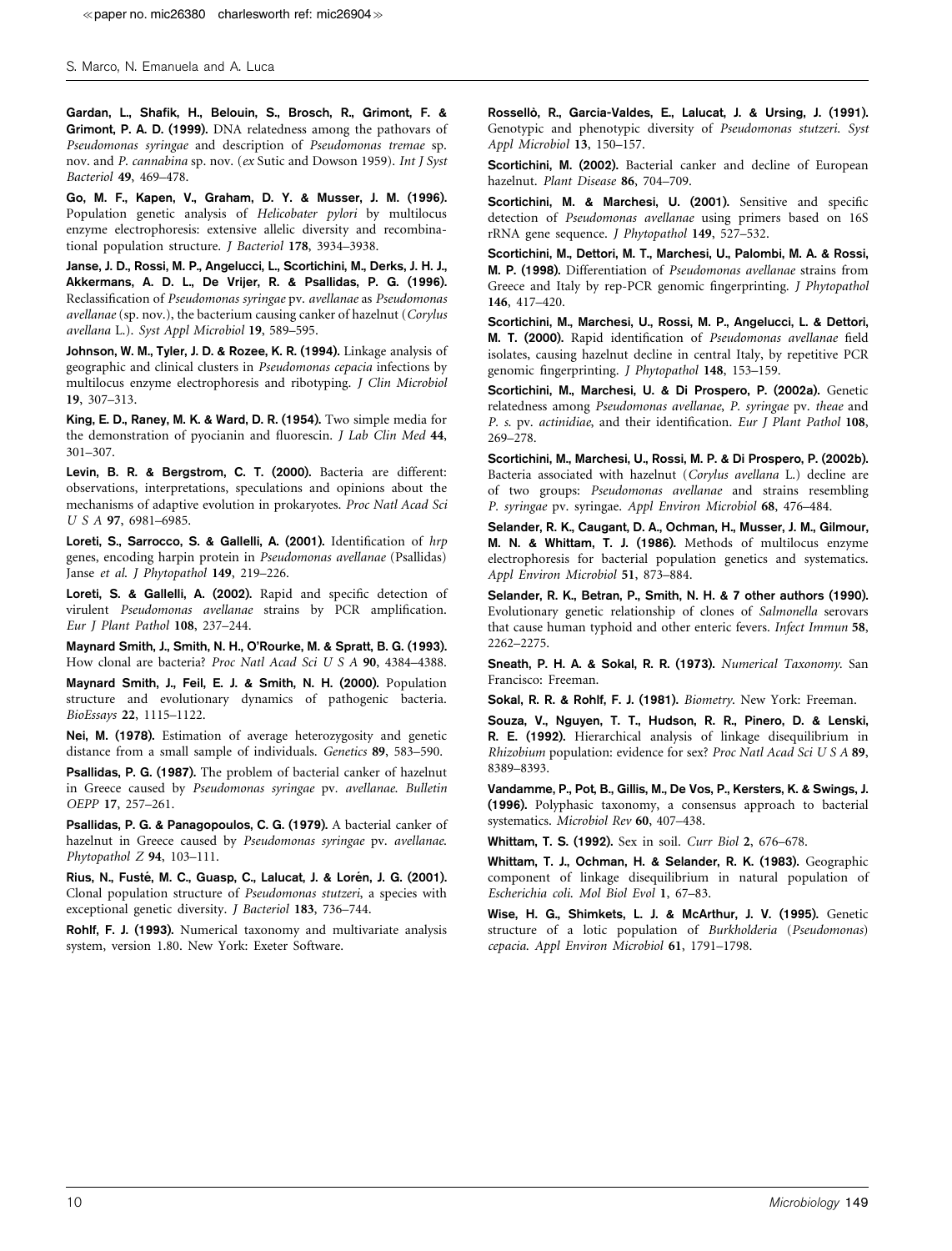Gardan, L., Shafik, H., Belouin, S., Brosch, R., Grimont, F. & Grimont, P. A. D. (1999). DNA relatedness among the pathovars of Pseudomonas syringae and description of Pseudomonas tremae sp. nov. and P. cannabina sp. nov. (ex Sutic and Dowson 1959). Int J Syst Bacteriol 49, 469–478.

Go, M. F., Kapen, V., Graham, D. Y. & Musser, J. M. (1996). Population genetic analysis of Helicobater pylori by multilocus enzyme electrophoresis: extensive allelic diversity and recombinational population structure. J Bacteriol 178, 3934–3938.

Janse, J. D., Rossi, M. P., Angelucci, L., Scortichini, M., Derks, J. H. J., Akkermans, A. D. L., De Vrijer, R. & Psallidas, P. G. (1996). Reclassification of Pseudomonas syringae pv. avellanae as Pseudomonas avellanae (sp. nov.), the bacterium causing canker of hazelnut (Corylus avellana L.). Syst Appl Microbiol 19, 589–595.

Johnson, W. M., Tyler, J. D. & Rozee, K. R. (1994). Linkage analysis of geographic and clinical clusters in Pseudomonas cepacia infections by multilocus enzyme electrophoresis and ribotyping. J Clin Microbiol 19, 307–313.

King, E. D., Raney, M. K. & Ward, D. R. (1954). Two simple media for the demonstration of pyocianin and fluorescin. J Lab Clin Med 44, 301–307.

Levin, B. R. & Bergstrom, C. T. (2000). Bacteria are different: observations, interpretations, speculations and opinions about the mechanisms of adaptive evolution in prokaryotes. Proc Natl Acad Sci U S A 97, 6981-6985.

Loreti, S., Sarrocco, S. & Gallelli, A. (2001). Identification of hrp genes, encoding harpin protein in Pseudomonas avellanae (Psallidas) Janse et al. J Phytopathol 149, 219-226.

Loreti, S. & Gallelli, A. (2002). Rapid and specific detection of virulent Pseudomonas avellanae strains by PCR amplification. Eur J Plant Pathol 108, 237–244.

Maynard Smith, J., Smith, N. H., O'Rourke, M. & Spratt, B. G. (1993). How clonal are bacteria? Proc Natl Acad Sci U S A 90, 4384–4388.

Maynard Smith, J., Feil, E. J. & Smith, N. H. (2000). Population structure and evolutionary dynamics of pathogenic bacteria. BioEssays 22, 1115–1122.

Nei, M. (1978). Estimation of average heterozygosity and genetic distance from a small sample of individuals. Genetics 89, 583–590.

Psallidas, P. G. (1987). The problem of bacterial canker of hazelnut in Greece caused by Pseudomonas syringae pv. avellanae. Bulletin OEPP 17, 257–261.

Psallidas, P. G. & Panagopoulos, C. G. (1979). A bacterial canker of hazelnut in Greece caused by Pseudomonas syringae pv. avellanae. Phytopathol Z 94, 103-111.

Rius, N., Fusté, M. C., Guasp, C., Lalucat, J. & Lorén, J. G. (2001). Clonal population structure of Pseudomonas stutzeri, a species with exceptional genetic diversity. J Bacteriol 183, 736–744.

Rohlf, F. J. (1993). Numerical taxonomy and multivariate analysis system, version 1.80. New York: Exeter Software.

Rossellò, R., Garcia-Valdes, E., Lalucat, J. & Ursing, J. (1991). Genotypic and phenotypic diversity of Pseudomonas stutzeri. Syst Appl Microbiol 13, 150–157.

Scortichini, M. (2002). Bacterial canker and decline of European hazelnut. Plant Disease 86, 704–709.

Scortichini, M. & Marchesi, U. (2001). Sensitive and specific detection of Pseudomonas avellanae using primers based on 16S rRNA gene sequence. J Phytopathol 149, 527–532.

Scortichini, M., Dettori, M. T., Marchesi, U., Palombi, M. A. & Rossi, M. P. (1998). Differentiation of Pseudomonas avellanae strains from Greece and Italy by rep-PCR genomic fingerprinting. J Phytopathol 146, 417–420.

Scortichini, M., Marchesi, U., Rossi, M. P., Angelucci, L. & Dettori, M. T. (2000). Rapid identification of Pseudomonas avellanae field isolates, causing hazelnut decline in central Italy, by repetitive PCR genomic fingerprinting. J Phytopathol 148, 153–159.

Scortichini, M., Marchesi, U. & Di Prospero, P. (2002a). Genetic relatedness among Pseudomonas avellanae, P. syringae pv. theae and P. s. pv. actinidiae, and their identification. Eur J Plant Pathol 108, 269–278.

Scortichini, M., Marchesi, U., Rossi, M. P. & Di Prospero, P. (2002b). Bacteria associated with hazelnut (Corylus avellana L.) decline are of two groups: Pseudomonas avellanae and strains resembling P. syringae pv. syringae. Appl Environ Microbiol 68, 476–484.

Selander, R. K., Caugant, D. A., Ochman, H., Musser, J. M., Gilmour, M. N. & Whittam, T. J. (1986). Methods of multilocus enzyme electrophoresis for bacterial population genetics and systematics. Appl Environ Microbiol 51, 873–884.

Selander, R. K., Betran, P., Smith, N. H. & 7 other authors (1990). Evolutionary genetic relationship of clones of Salmonella serovars that cause human typhoid and other enteric fevers. Infect Immun 58, 2262–2275.

Sneath, P. H. A. & Sokal, R. R. (1973). Numerical Taxonomy. San Francisco: Freeman.

Sokal, R. R. & Rohlf, F. J. (1981). Biometry. New York: Freeman.

Souza, V., Nguyen, T. T., Hudson, R. R., Pinero, D. & Lenski, R. E. (1992). Hierarchical analysis of linkage disequilibrium in Rhizobium population: evidence for sex? Proc Natl Acad Sci U S A 89, 8389–8393.

Vandamme, P., Pot, B., Gillis, M., De Vos, P., Kersters, K. & Swings, J. (1996). Polyphasic taxonomy, a consensus approach to bacterial systematics. Microbiol Rev 60, 407–438.

Whittam, T. S. (1992). Sex in soil. Curr Biol 2, 676–678.

Whittam, T. J., Ochman, H. & Selander, R. K. (1983). Geographic component of linkage disequilibrium in natural population of Escherichia coli. Mol Biol Evol 1, 67–83.

Wise, H. G., Shimkets, L. J. & McArthur, J. V. (1995). Genetic structure of a lotic population of Burkholderia (Pseudomonas) cepacia. Appl Environ Microbiol 61, 1791–1798.